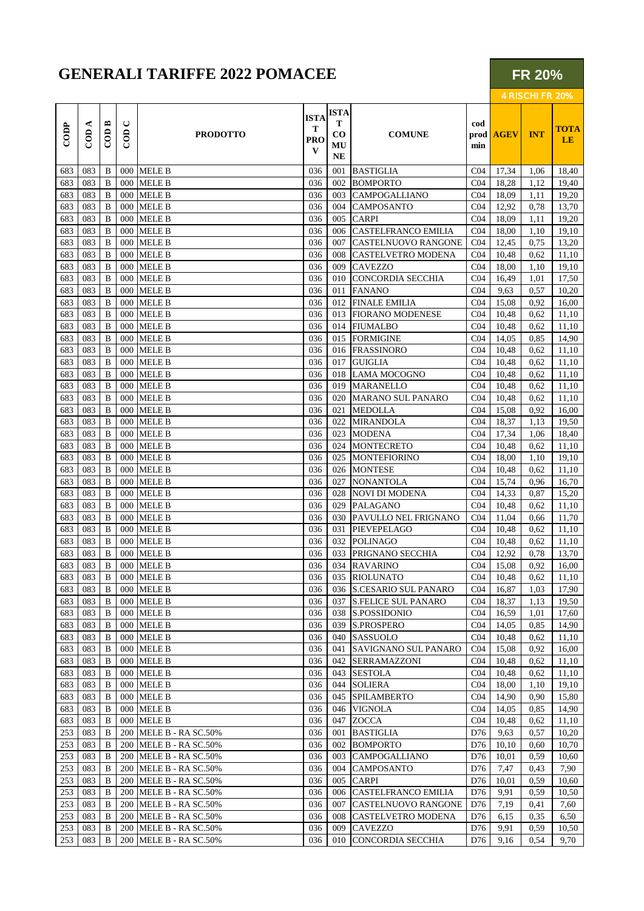## **GENERALI TARIFFE 2022 POMACEE**

| <b>GENERALI TARIFFE 2022 POMACEE</b> |                     |                                        |                     |                                 |                                     |                                                  |                            |                    |             |            | <b>FR 20%</b><br>4 RISCHI FR 20% |  |  |  |
|--------------------------------------|---------------------|----------------------------------------|---------------------|---------------------------------|-------------------------------------|--------------------------------------------------|----------------------------|--------------------|-------------|------------|----------------------------------|--|--|--|
| CODP                                 | ≺<br>$\overline{C}$ | $\mathbf{r}$<br>$\overline{\text{co}}$ | ల<br>$\overline{C}$ | <b>PRODOTTO</b>                 | <b>ISTA</b><br>т<br><b>PRO</b><br>V | <b>ISTA</b><br>т<br>$\bf{CO}$<br>MU<br><b>NE</b> | <b>COMUNE</b>              | cod<br>prod<br>min | <b>AGEV</b> | <b>INT</b> | <b>TOTA</b><br><b>LE</b>         |  |  |  |
| 683                                  | 083                 | <sub>B</sub>                           | 000                 | <b>MELE B</b>                   | 036                                 | 001                                              | <b>BASTIGLIA</b>           | CO <sub>4</sub>    | 17,34       | 1,06       | 18,40                            |  |  |  |
| 683                                  | 083                 | B                                      | 000                 | <b>MELE B</b>                   | 036                                 | 002                                              | <b>BOMPORTO</b>            | CO <sub>4</sub>    | 18,28       | 1,12       | 19,40                            |  |  |  |
| 683                                  | 083                 | <sub>B</sub>                           | 000                 | <b>MELE B</b>                   | 036                                 | 003                                              | <b>CAMPOGALLIANO</b>       | CO <sub>4</sub>    | 18,09       | 1,11       | 19,20                            |  |  |  |
| 683                                  | 083                 | B                                      |                     | 000 MELE B                      | 036                                 | 004                                              | <b>CAMPOSANTO</b>          | CO <sub>4</sub>    | 12,92       | 0.78       | 13,70                            |  |  |  |
| 683                                  | 083                 | B                                      | 000                 | <b>MELE B</b>                   | 036                                 | 005                                              | <b>CARPI</b>               | CO <sub>4</sub>    | 18,09       | 1,11       | 19,20                            |  |  |  |
| 683                                  | 083                 | B                                      | 000                 | <b>MELE B</b>                   | 036                                 | 006                                              | <b>CASTELFRANCO EMILIA</b> | CO <sub>4</sub>    | 18,00       | 1,10       | 19,10                            |  |  |  |
| 683                                  | 083                 | <sub>B</sub>                           | 000                 | <b>MELE B</b>                   | 036                                 | 007                                              | <b>CASTELNUOVO RANGONE</b> | CO <sub>4</sub>    | 12,45       | 0.75       | 13,20                            |  |  |  |
| 683                                  | 083                 | B                                      | 000                 | <b>MELE B</b>                   | 036                                 | 008                                              | <b>CASTELVETRO MODENA</b>  | CO <sub>4</sub>    | 10,48       | 0.62       | 11,10                            |  |  |  |
| 683                                  | 083                 | B.                                     | 000                 | <b>MELE B</b>                   | 036                                 | 009                                              | <b>CAVEZZO</b>             | CO <sub>4</sub>    | 18,00       | 1,10       | 19,10                            |  |  |  |
| 683                                  | 083                 | B                                      | 000                 | <b>MELE B</b>                   | 036                                 | 010                                              | ICONCORDIA SECCHIA         | CO <sub>4</sub>    | 16,49       | 1,01       | 17,50                            |  |  |  |
| 683                                  | 083                 | B.                                     | 000                 | <b>MELE B</b>                   | 036                                 | 011                                              | <b>FANANO</b>              | CO <sub>4</sub>    | 9,63        | 0.57       | 10,20                            |  |  |  |
| 683                                  | 083                 | <sub>B</sub>                           | 000                 | <b>MELE B</b>                   | 036                                 | 012                                              | <b>FINALE EMILIA</b>       | CO <sub>4</sub>    | 15,08       | 0.92       | 16,00                            |  |  |  |
| $\sim$ 0.0 $\sim$                    | 0.02                | $\mathbf{r}$                           |                     | $000 \pm \text{m} \pm \text{m}$ | 02 <sup>2</sup>                     |                                                  | $012$ FLORIDIO MORENTEED   | $\sim$ $\sim$      | 10.10       | 0.52       | 11.10                            |  |  |  |

|     | <u>. cover</u> | D |            | <b>OOO</b> MICLE D     | UJU I |     | 007   CASTELINOO VO KANGONE   C04 |                 | 12,45 | 0,13 | 13,20 |
|-----|----------------|---|------------|------------------------|-------|-----|-----------------------------------|-----------------|-------|------|-------|
| 683 | 083            | B |            | 000 MELE B             | 036   | 008 | <b>CASTELVETRO MODENA</b>         | CO <sub>4</sub> | 10,48 | 0.62 | 11,10 |
| 683 | 083            | B | 000        | <b>MELE B</b>          | 036   | 009 | <b>CAVEZZO</b>                    | CO <sub>4</sub> | 18,00 | 1,10 | 19,10 |
| 683 | 083            | B |            | 000 MELE B             | 036   | 010 | CONCORDIA SECCHIA                 | CO <sub>4</sub> | 16,49 | 1,01 | 17,50 |
| 683 | 083            | B | 000        | <b>MELE B</b>          | 036   | 011 | <b>FANANO</b>                     | CO <sub>4</sub> | 9,63  | 0,57 | 10,20 |
| 683 | 083            | B |            | 000 MELE B             | 036   |     | 012 FINALE EMILIA                 | CO <sub>4</sub> | 15,08 | 0.92 | 16,00 |
| 683 | 083            | B |            | 000 MELE B             | 036   |     | 013 FIORANO MODENESE              | CO <sub>4</sub> | 10,48 | 0,62 | 11,10 |
| 683 | 083            | B | 000        | <b>MELE B</b>          | 036   |     | 014 FIUMALBO                      | CO <sub>4</sub> | 10,48 | 0,62 | 11,10 |
| 683 | 083            | B | 000        | <b>MELE B</b>          | 036   | 015 | <b>FORMIGINE</b>                  | CO <sub>4</sub> | 14,05 | 0,85 | 14,90 |
| 683 | 083            | B | 000        | <b>MELE B</b>          | 036   | 016 | <b>FRASSINORO</b>                 | CO <sub>4</sub> | 10,48 | 0.62 | 11,10 |
| 683 | 083            | B | 000        | <b>MELE B</b>          | 036   | 017 | <b>GUIGLIA</b>                    | CO <sub>4</sub> | 10,48 | 0.62 | 11,10 |
| 683 | 083            | B | 000        | <b>MELE B</b>          | 036   | 018 | <b>LAMA MOCOGNO</b>               | CO <sub>4</sub> | 10.48 | 0.62 | 11,10 |
| 683 | 083            | B |            | 000 MELE B             | 036   | 019 | <b>MARANELLO</b>                  | C <sub>04</sub> | 10,48 | 0,62 | 11,10 |
| 683 | 083            | B | 000        | <b>MELE B</b>          | 036   | 020 | <b>MARANO SUL PANARO</b>          | CO <sub>4</sub> | 10,48 | 0,62 | 11,10 |
| 683 | 083            | B | 000        | <b>MELE B</b>          | 036   | 021 | <b>MEDOLLA</b>                    | CO <sub>4</sub> | 15,08 | 0.92 | 16,00 |
| 683 | 083            | B | 000        | <b>MELE B</b>          | 036   | 022 | <b>MIRANDOLA</b>                  | CO <sub>4</sub> | 18,37 | 1,13 | 19,50 |
| 683 | 083            | B | 000        | <b>MELE B</b>          | 036   | 023 | <b>MODENA</b>                     | CO <sub>4</sub> | 17,34 | 1,06 | 18,40 |
| 683 | 083            | B | 000        | <b>MELE B</b>          | 036   | 024 | <b>MONTECRETO</b>                 | CO <sub>4</sub> | 10,48 | 0,62 | 11,10 |
| 683 | 083            | B |            | 000 MELE B             | 036   |     | 025 MONTEFIORINO                  | CO <sub>4</sub> | 18,00 | 1,10 | 19,10 |
| 683 | 083            | B |            | 000 MELE B             | 036   |     | 026 MONTESE                       | CO <sub>4</sub> | 10,48 | 0,62 | 11,10 |
| 683 | 083            | B | 000        | <b>MELE B</b>          | 036   | 027 | <b>NONANTOLA</b>                  | CO <sub>4</sub> | 15,74 | 0,96 | 16,70 |
| 683 | 083            | B | 000        | <b>MELE B</b>          | 036   | 028 | <b>NOVI DI MODENA</b>             | CO <sub>4</sub> | 14.33 | 0,87 | 15,20 |
| 683 | 083            | B | 000        | <b>MELE B</b>          | 036   | 029 | <b>PALAGANO</b>                   | CO <sub>4</sub> | 10,48 | 0.62 | 11,10 |
| 683 | 083            | B | 000        | <b>MELE B</b>          | 036   | 030 | PAVULLO NEL FRIGNANO              | CO <sub>4</sub> | 11,04 | 0,66 | 11,70 |
| 683 | 083            | B |            | 000 MELE B             | 036   | 031 | PIEVEPELAGO                       | C <sub>04</sub> | 10,48 | 0,62 | 11,10 |
| 683 | 083            | B |            | 000 MELE B             | 036   | 032 | <b>POLINAGO</b>                   | CO <sub>4</sub> | 10,48 | 0,62 | 11,10 |
| 683 | 083            | B | 000        | <b>MELE B</b>          | 036   | 033 | PRIGNANO SECCHIA                  | C <sub>04</sub> | 12,92 | 0,78 | 13,70 |
| 683 | 083            | B | 000        | <b>MELE B</b>          | 036   | 034 | <b>RAVARINO</b>                   | CO <sub>4</sub> | 15,08 | 0.92 | 16,00 |
| 683 | 083            | B |            | 000 MELE B             | 036   | 035 | <b>RIOLUNATO</b>                  | CO <sub>4</sub> | 10,48 | 0.62 | 11,10 |
| 683 | 083            | B | 000        | <b>MELE B</b>          | 036   | 036 | <b>S.CESARIO SUL PANARO</b>       | CO <sub>4</sub> | 16,87 | 1,03 | 17,90 |
| 683 | 083            | B |            | 000 MELE B             | 036   | 037 | <b>S.FELICE SUL PANARO</b>        | CO <sub>4</sub> | 18,37 | 1,13 | 19,50 |
| 683 | 083            | B |            | 000 MELE B             | 036   |     | 038 S.POSSIDONIO                  | CO <sub>4</sub> | 16,59 | 1,01 | 17,60 |
| 683 | 083            | B | 000        | <b>MELE B</b>          | 036   | 039 | S.PROSPERO                        | CO <sub>4</sub> | 14,05 | 0,85 | 14,90 |
| 683 | 083            | B | 000        | <b>MELE B</b>          | 036   | 040 | <b>SASSUOLO</b>                   | CO <sub>4</sub> | 10,48 | 0.62 | 11,10 |
| 683 | 083            | B | 000        | <b>MELE B</b>          | 036   | 041 | SAVIGNANO SUL PANARO              | CO <sub>4</sub> | 15,08 | 0.92 | 16,00 |
| 683 | 083            | B | 000        | <b>MELE B</b>          | 036   | 042 | <b>SERRAMAZZONI</b>               | CO <sub>4</sub> | 10,48 | 0,62 | 11,10 |
| 683 | 083            | B | 000        | <b>MELE B</b>          | 036   | 043 | <b>SESTOLA</b>                    | CO <sub>4</sub> | 10,48 | 0,62 | 11,10 |
| 683 | 083            | B |            | 000 MELE B             | 036   | 044 | <b>SOLIERA</b>                    | C <sub>04</sub> | 18,00 | 1,10 | 19,10 |
| 683 | 083            | B | 000        | <b>MELE B</b>          | 036   | 045 | <b>SPILAMBERTO</b>                | CO <sub>4</sub> | 14,90 | 0,90 | 15,80 |
| 683 | 083            | B | 000        | <b>MELE B</b>          | 036   | 046 | <b>VIGNOLA</b>                    | CO <sub>4</sub> | 14,05 | 0,85 | 14,90 |
| 683 | 083            | B |            | 000 MELE B             | 036   | 047 | <b>ZOCCA</b>                      | CO <sub>4</sub> | 10.48 | 0,62 | 11,10 |
| 253 | 083            | B |            | 200 MELE B - RA SC.50% | 036   | 001 | <b>BASTIGLIA</b>                  | D76             | 9,63  | 0,57 | 10,20 |
| 253 | 083            | B | <b>200</b> | MELE B - RA SC.50%     | 036   | 002 | <b>BOMPORTO</b>                   | D76             | 10,10 | 0,60 | 10,70 |
| 253 | 083            | B |            | 200 MELE B - RA SC.50% | 036   | 003 | <b>CAMPOGALLIANO</b>              | D76             | 10,01 | 0.59 | 10,60 |
| 253 | 083            | B |            | 200 MELE B - RA SC.50% | 036   | 004 | <b>CAMPOSANTO</b>                 | D76             | 7,47  | 0,43 | 7,90  |
| 253 | 083            | B | 200        | MELE B - RA SC.50%     | 036   | 005 | <b>CARPI</b>                      | D76             | 10,01 | 0,59 | 10,60 |
| 253 | 083            | B | 200        | MELE B - RA SC.50%     | 036   | 006 | <b>CASTELFRANCO EMILIA</b>        | D76             | 9,91  | 0.59 | 10,50 |
| 253 | 083            | B | 200        | MELE B - RA SC.50%     | 036   | 007 | CASTELNUOVO RANGONE               | D76             | 7,19  | 0,41 | 7,60  |
| 253 | 083            | B | <b>200</b> | MELE B - RA SC.50%     | 036   | 008 | <b>CASTELVETRO MODENA</b>         | D76             | 6,15  | 0,35 | 6,50  |
| 253 | 083            | B | 200        | MELE B - RA SC.50%     | 036   | 009 | <b>CAVEZZO</b>                    | D76             | 9,91  | 0,59 | 10,50 |
| 253 | 083            | B |            | 200 MELE B - RA SC.50% | 036   |     | 010 CONCORDIA SECCHIA             | D76             | 9,16  | 0.54 | 9,70  |
|     |                |   |            |                        |       |     |                                   |                 |       |      |       |

**TOTA LE**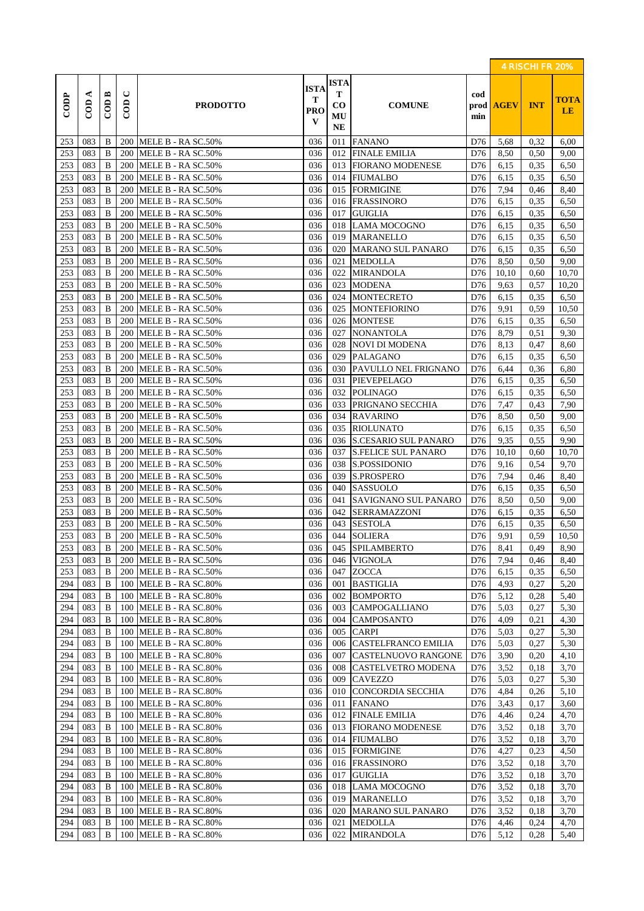|                  |            |                                      |                          |                                          |                                     |                                    |                                             |            |                  | 4 RISCHI FR 20% |                          |
|------------------|------------|--------------------------------------|--------------------------|------------------------------------------|-------------------------------------|------------------------------------|---------------------------------------------|------------|------------------|-----------------|--------------------------|
| $\overline{COP}$ | ⋖<br>COD   | $\mathbb{C} \mathbb{O} \mathbb{D}$ B | $\cup$<br>$\overline{c}$ | <b>PRODOTTO</b>                          | <b>ISTA</b><br>т<br><b>PRO</b><br>V | <b>ISTA</b><br>Т<br>CO<br>MU<br>NE | <b>COMUNE</b>                               | cod<br>min | prod <b>AGEV</b> | <b>INT</b>      | <b>TOTA</b><br><b>LE</b> |
| 253              | 083        | B                                    |                          | 200 MELE B - RA SC.50%                   | 036                                 | 011                                | <b>FANANO</b>                               | D76        | 5,68             | 0,32            | 6,00                     |
| 253              | 083        | B                                    |                          | 200 MELE B - RA SC.50%                   | 036                                 | 012                                | <b>FINALE EMILIA</b>                        | D76        | 8,50             | 0,50            | 9,00                     |
| 253              | 083        | B                                    | 200                      | MELE B - RA SC.50%                       | 036                                 | 013                                | <b>FIORANO MODENESE</b>                     | D76        | 6,15             | 0.35            | 6,50                     |
| 253              | 083        | $\bf{B}$                             | 200                      | MELE B - RA SC.50%                       | 036                                 | 014                                | <b>FIUMALBO</b>                             | D76        | 6,15             | 0.35            | 6,50                     |
| 253              | 083        | B                                    |                          | 200 MELE B - RA SC.50%                   | 036                                 | 015                                | <b>FORMIGINE</b>                            | D76        | 7,94             | 0,46            | 8,40                     |
| 253              | 083        | B                                    | 200                      | MELE B - RA SC.50%                       | 036                                 | 016                                | <b>FRASSINORO</b>                           | D76        | 6,15             | 0.35            | 6,50                     |
| 253              | 083        | B                                    |                          | 200 MELE B - RA SC.50%                   | 036                                 | 017                                | <b>GUIGLIA</b>                              | D76        | 6,15             | 0.35            | 6,50                     |
| 253              | 083        | B                                    | 200                      | MELE B - RA SC.50%                       | 036                                 | 018                                | <b>LAMA MOCOGNO</b>                         | D76        | 6,15             | 0.35            | 6,50                     |
| 253              | 083        | B                                    | 200                      | MELE B - RA SC.50%                       | 036                                 | 019                                | <b>MARANELLO</b>                            | D76        | 6,15             | 0.35            | 6,50                     |
| 253              | 083        | $\bf{B}$                             | 200                      | MELE B - RA SC.50%                       | 036                                 | 020                                | <b>MARANO SUL PANARO</b>                    | D76        | 6,15             | 0.35            | 6,50                     |
| 253              | 083        | B                                    | 200                      | MELE B - RA SC.50%                       | 036                                 | 021                                | <b>MEDOLLA</b>                              | D76        | 8,50             | 0.50            | 9,00                     |
| 253              | 083        | B                                    |                          | 200 MELE B - RA SC.50%                   | 036                                 | 022                                | <b>MIRANDOLA</b>                            | D76        | 10,10            | 0,60            | 10,70                    |
| 253              | 083        | B                                    |                          | 200 MELE B - RA SC.50%                   | 036                                 | 023                                | <b>MODENA</b>                               | D76        | 9,63             | 0.57            | 10,20                    |
| 253              | 083        | B                                    | 200                      | MELE B - RA SC.50%                       | 036                                 | 024                                | <b>MONTECRETO</b>                           | D76        | 6,15             | 0.35            | 6,50                     |
| 253              | 083        | B                                    | 200                      | MELE B - RA SC.50%                       | 036                                 | 025                                | <b>MONTEFIORINO</b>                         | D76        | 9,91             | 0.59            | 10,50                    |
| 253              | 083        | $\bf{B}$                             | 200                      | MELE B - RA SC.50%                       | 036                                 | 026                                | <b>MONTESE</b>                              | D76        | 6,15             | 0.35            | 6,50                     |
| 253              | 083        | B                                    | 200                      | MELE B - RA SC.50%                       | 036                                 | 027                                | <b>NONANTOLA</b>                            | D76        | 8,79             | 0.51            | 9,30                     |
| 253              | 083        | B                                    | 200                      | MELE B - RA SC.50%                       | 036                                 | 028                                | <b>NOVI DI MODENA</b>                       | D76        | 8,13             | 0,47            | 8,60                     |
| 253              | 083        | B                                    |                          | 200 MELE B - RA SC.50%                   | 036                                 | 029                                | <b>PALAGANO</b>                             | D76        | 6,15             | 0.35            | 6,50                     |
| 253              | 083        | B                                    |                          | 200 MELE B - RA SC.50%                   | 036                                 | 030                                | <b>PAVULLO NEL FRIGNANO</b>                 | D76        | 6,44             | 0,36            | 6,80                     |
| 253              | 083        | B                                    | 200                      | MELE B - RA SC.50%                       | 036                                 | 031                                | <b>PIEVEPELAGO</b>                          | D76        | 6,15             | 0.35            | 6,50                     |
| 253              | 083        | B                                    | 200                      | MELE B - RA SC.50%                       | 036                                 | 032                                | <b>POLINAGO</b>                             | D76        | 6,15             | 0.35            | 6,50                     |
| 253              | 083        | B                                    | 200                      | MELE B - RA SC.50%                       | 036                                 | 033                                | PRIGNANO SECCHIA                            | D76        | 7,47             | 0.43            | 7,90                     |
| 253              | 083        | $\bf{B}$                             |                          | 200 MELE B - RA SC.50%                   | 036                                 | 034                                | <b>RAVARINO</b>                             | D76        | 8,50             | 0.50            | 9,00                     |
| 253              | 083        | B                                    |                          | 200 MELE B - RA SC.50%                   | 036                                 | 035                                | <b>RIOLUNATO</b>                            | D76        | 6,15             | 0.35            | 6,50                     |
| 253              | 083        | $\bf{B}$                             |                          | 200 MELE B - RA SC.50%                   | 036                                 | 036                                | <b>S.CESARIO SUL PANARO</b>                 | D76        | 9,35             | 0.55            | 9,90                     |
| 253              | 083        | B                                    | 200                      | MELE B - RA SC.50%                       | 036                                 | 037                                | <b>S.FELICE SUL PANARO</b>                  | D76        | 10,10            | 0,60            | 10,70                    |
| 253              | 083        | B                                    | 200                      | MELE B - RA SC.50%                       | 036                                 | 038                                | S.POSSIDONIO                                | D76        | 9,16             | 0.54            | 9,70                     |
| 253              | 083        | B<br>B                               | 200                      | MELE B - RA SC.50%                       | 036                                 | 039                                | <b>S.PROSPERO</b>                           | D76        | 7,94             | 0,46            | 8,40                     |
| 253<br>253       | 083<br>083 | B                                    | 200<br>200               | MELE B - RA SC.50%                       | 036<br>036                          | 040<br>041                         | <b>SASSUOLO</b>                             | D76<br>D76 | 6,15<br>8,50     | 0.35<br>0.50    | 6,50<br>9,00             |
| 253              | 083        | B                                    | 200                      | MELE B - RA SC.50%<br>MELE B - RA SC.50% | 036                                 | 042                                | SAVIGNANO SUL PANARO<br><b>SERRAMAZZONI</b> | D76        | 6,15             | 0.35            | 6,50                     |
| 253              | 083        | B                                    | 200                      | MELE B - RA SC.50%                       | 036                                 | 043                                | <b>SESTOLA</b>                              | D76        | 6,15             | 0.35            | 6,50                     |
| 253              | 083        | B                                    | 200                      | MELE B - RA SC.50%                       | 036                                 | 044                                | <b>SOLIERA</b>                              | D76        | 9,91             | 0.59            | 10,50                    |
| 253              | 083        | B                                    |                          | 200   MELE B - RA SC.50%                 | 036                                 |                                    | 045 SPILAMBERTO                             | D76        | 8,41             | 0,49            | 8,90                     |
| 253              | 083        | B                                    | <b>200</b>               | MELE B - RA SC.50%                       | 036                                 | 046                                | <b>VIGNOLA</b>                              | D76        | 7,94             | 0,46            | 8,40                     |
| 253              | 083        | B                                    |                          | 200 MELE B - RA SC.50%                   | 036                                 | 047                                | <b>ZOCCA</b>                                | D76        | 6,15             | 0.35            | 6,50                     |
| 294              | 083        | B                                    |                          | 100 MELE B - RA SC.80%                   | 036                                 | 001                                | <b>BASTIGLIA</b>                            | D76        | 4,93             | 0,27            | 5,20                     |
| 294              | 083        | B                                    | 100                      | MELE B - RA SC.80%                       | 036                                 | 002                                | <b>BOMPORTO</b>                             | D76        | 5,12             | 0,28            | 5,40                     |
| 294              | 083        | B                                    | 100                      | MELE B - RA SC.80%                       | 036                                 | 003                                | <b>CAMPOGALLIANO</b>                        | D76        | 5,03             | 0,27            | 5,30                     |
| 294              | 083        | B                                    | 100                      | MELE B - RA SC.80%                       | 036                                 | 004                                | <b>CAMPOSANTO</b>                           | D76        | 4,09             | 0,21            | 4,30                     |
| 294              | 083        | B                                    | 100                      | MELE B - RA SC.80%                       | 036                                 | 005                                | <b>CARPI</b>                                | D76        | 5,03             | 0,27            | 5,30                     |
| 294              | 083        | B                                    | 100                      | MELE B - RA SC.80%                       | 036                                 | 006                                | <b>CASTELFRANCO EMILIA</b>                  | D76        | 5,03             | 0,27            | 5,30                     |
| 294              | 083        | B                                    |                          | 100 MELE B - RA SC.80%                   | 036                                 | 007                                | CASTELNUOVO RANGONE                         | D76        | 3,90             | 0,20            | 4,10                     |
| 294              | 083        | B                                    | 100                      | MELE B - RA SC.80%                       | 036                                 | 008                                | CASTELVETRO MODENA                          | D76        | 3,52             | 0.18            | 3,70                     |
| 294              | 083        | B                                    | 100                      | MELE B - RA SC.80%                       | 036                                 | 009                                | <b>CAVEZZO</b>                              | D76        | 5,03             | 0,27            | 5,30                     |
| 294              | 083        | B                                    | 100                      | MELE B - RA SC.80%                       | 036                                 | 010                                | CONCORDIA SECCHIA                           | D76        | 4,84             | 0,26            | 5,10                     |
| 294              | 083        | B                                    | 100                      | MELE B - RA SC.80%                       | 036                                 | 011                                | <b>FANANO</b>                               | D76        | 3,43             | 0,17            | 3,60                     |
| 294              | 083        | B                                    | 100                      | MELE B - RA SC.80%                       | 036                                 | 012                                | <b>FINALE EMILIA</b>                        | D76        | 4,46             | 0,24            | 4,70                     |
| 294              | 083        | B                                    |                          | 100 MELE B - RA SC.80%                   | 036                                 | 013                                | <b>FIORANO MODENESE</b>                     | D76        | 3,52             | 0.18            | 3,70                     |
| 294              | 083        | B                                    | 100                      | MELE B - RA SC.80%                       | 036                                 | 014                                | <b>FIUMALBO</b>                             | D76        | 3,52             | 0.18            | 3,70                     |
| 294              | 083        | B                                    | 100                      | MELE B - RA SC.80%                       | 036                                 | 015                                | <b>FORMIGINE</b>                            | D76        | 4,27             | 0.23            | 4,50                     |
| 294              | 083        | B                                    | 100                      | MELE B - RA SC.80%                       | 036                                 | 016                                | <b>FRASSINORO</b>                           | D76        | 3,52             | 0,18            | 3,70                     |
| 294              | 083        | B                                    | 100                      | MELE B - RA SC.80%                       | 036                                 | 017                                | <b>GUIGLIA</b>                              | D76        | 3,52             | 0,18            | 3,70                     |
| 294              | 083        | B                                    | 100                      | MELE B - RA SC.80%                       | 036                                 | 018                                | LAMA MOCOGNO                                | D76        | 3,52             | 0.18            | 3,70                     |
| 294              | 083        | B                                    |                          | 100 MELE B - RA SC.80%                   | 036                                 | 019                                | <b>MARANELLO</b>                            | D76        | 3,52             | 0.18            | 3,70                     |
| 294              | 083        | B                                    | 100                      | MELE B - RA SC.80%                       | 036                                 | 020                                | <b>MARANO SUL PANARO</b>                    | D76        | 3,52             | 0.18            | 3,70                     |
| 294              | 083        | B                                    | 100                      | MELE B - RA SC.80%                       | 036                                 | 021                                | <b>MEDOLLA</b>                              | D76        | 4,46             | 0,24            | 4,70                     |
| 294              | 083        | B                                    | 100                      | MELE B - RA SC.80%                       | 036                                 | 022                                | <b>MIRANDOLA</b>                            | D76        | 5,12             | 0,28            | 5,40                     |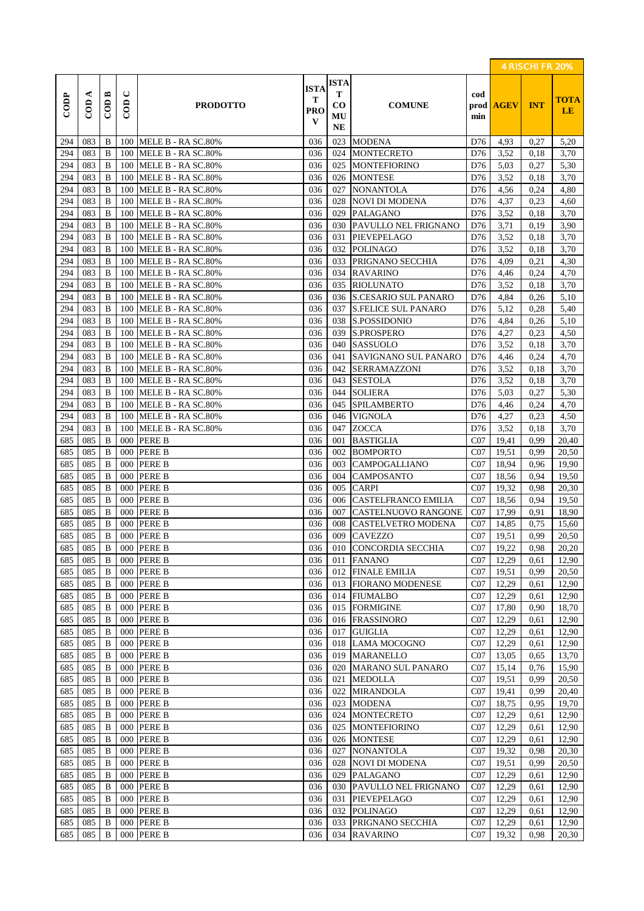|            |                     |                    |                                         |                                          |                                         |                                                  |                                |                 |                  | 4 RISCHI FR 20% |                          |
|------------|---------------------|--------------------|-----------------------------------------|------------------------------------------|-----------------------------------------|--------------------------------------------------|--------------------------------|-----------------|------------------|-----------------|--------------------------|
| CODP       | ⋖<br>$\overline{C}$ | $\overline{C}$ ODB | $\mathbf{\mathsf{C}}$<br>$\overline{C}$ | <b>PRODOTTO</b>                          | <b>ISTA</b><br>т<br>PRO<br>$\mathbf{V}$ | <b>ISTA</b><br>т<br>$\bf{CO}$<br>MU<br><b>NE</b> | <b>COMUNE</b>                  | cod<br>min      | prod <b>AGEV</b> | <b>INT</b>      | <b>TOTA</b><br><b>LE</b> |
| 294        | 083                 | B                  |                                         | 100 MELE B - RA SC.80%                   | 036                                     | 023                                              | <b>MODENA</b>                  | D76             | 4,93             | 0,27            | 5,20                     |
| 294        | 083                 | B                  |                                         | 100 MELE B - RA SC.80%                   | 036                                     | 024                                              | <b>MONTECRETO</b>              | D76             | 3,52             | 0,18            | 3,70                     |
| 294        | 083                 | B                  | 100                                     | MELE B - RA SC.80%                       | 036                                     | 025                                              | <b>MONTEFIORINO</b>            | D76             | 5,03             | 0,27            | 5,30                     |
| 294        | 083                 | $\bf{B}$           | 100                                     | MELE B - RA SC.80%                       | 036                                     | 026                                              | <b>MONTESE</b>                 | D76             | 3,52             | 0.18            | 3,70                     |
| 294        | 083                 | B                  | 100                                     | MELE B - RA SC.80%                       | 036                                     | 027                                              | <b>NONANTOLA</b>               | D76             | 4,56             | 0,24            | 4,80                     |
| 294        | 083                 | B                  | 100                                     | MELE B - RA SC.80%                       | 036                                     | 028                                              | NOVI DI MODENA                 | D76             | 4,37             | 0,23            | 4,60                     |
| 294        | 083                 | B                  | 100                                     | MELE B - RA SC.80%                       | 036                                     | 029                                              | <b>PALAGANO</b>                | D76             | 3,52             | 0,18            | 3,70                     |
| 294        | 083                 | $\bf{B}$           | 100                                     | MELE B - RA SC.80%                       | 036                                     | 030                                              | PAVULLO NEL FRIGNANO           | D76             | 3,71             | 0,19            | 3,90                     |
| 294        | 083                 | $\bf{B}$           | 100                                     | MELE B - RA SC.80%                       | 036                                     | 031                                              | PIEVEPELAGO                    | D76             | 3,52             | 0,18            | 3,70                     |
| 294        | 083                 | B                  | 100                                     | MELE B - RA SC.80%                       | 036                                     | 032                                              | <b>POLINAGO</b>                | D76             | 3,52             | 0,18            | 3,70                     |
| 294        | 083                 | B                  | 100                                     | MELE B - RA SC.80%                       | 036                                     | 033                                              | PRIGNANO SECCHIA               | D76             | 4,09             | 0,21            | 4,30                     |
| 294        | 083                 | $\bf{B}$           | 100                                     | MELE B - RA SC.80%                       | 036                                     | 034                                              | <b>RAVARINO</b>                | D76             | 4,46             | 0,24            | 4,70                     |
| 294        | 083                 | B                  | 100                                     | MELE B - RA SC.80%                       | 036                                     | 035                                              | <b>RIOLUNATO</b>               | D76             | 3,52             | 0.18            | 3,70                     |
| 294        | 083                 | $\bf{B}$           | 100                                     | MELE B - RA SC.80%                       | 036                                     | 036                                              | <b>S.CESARIO SUL PANARO</b>    | D76             | 4,84             | 0,26            | 5,10                     |
| 294        | 083                 | $\bf{B}$           | 100                                     | MELE B - RA SC.80%                       | 036                                     | 037                                              | <b>S.FELICE SUL PANARO</b>     | D76             | 5,12             | 0,28            | 5,40                     |
| 294        | 083                 | B                  | 100                                     | MELE B - RA SC.80%                       | 036                                     | 038                                              | S.POSSIDONIO                   | D76             | 4,84             | 0,26            | 5,10                     |
| 294        | 083                 | B                  | 100                                     | MELE B - RA SC.80%                       | 036                                     | 039                                              | <b>S.PROSPERO</b>              | D76             | 4,27             | 0.23            | 4,50                     |
| 294        | 083                 | B                  | 100                                     | MELE B - RA SC.80%                       | 036                                     | 040                                              | <b>SASSUOLO</b>                | D76             | 3,52             | 0,18            | 3,70                     |
| 294        | 083                 | B                  | 100                                     | MELE B - RA SC.80%                       | 036                                     | 041                                              | <b>SAVIGNANO SUL PANARO</b>    | D76             | 4,46             | 0,24            | 4,70                     |
| 294        | 083                 | B                  | 100                                     | MELE B - RA SC.80%                       | 036                                     | 042                                              | <b>SERRAMAZZONI</b>            | D76             | 3,52             | 0.18            | 3,70                     |
| 294        | 083                 | B                  | 100                                     | MELE B - RA SC.80%                       | 036                                     | 043                                              | <b>SESTOLA</b>                 | D76             | 3,52             | 0,18            | 3,70                     |
| 294        | 083                 | B                  | 100                                     | MELE B - RA SC.80%                       | 036                                     | 044                                              | <b>SOLIERA</b>                 | D76             | 5,03             | 0,27            | 5,30                     |
| 294        | 083                 | B                  | 100                                     | MELE B - RA SC.80%                       | 036                                     | 045                                              | <b>SPILAMBERTO</b>             | D76             | 4,46             | 0,24            | 4,70                     |
| 294<br>294 | 083<br>083          | B<br>B             | 100<br>100                              | MELE B - RA SC.80%<br>MELE B - RA SC.80% | 036<br>036                              | 046<br>047                                       | <b>VIGNOLA</b><br><b>ZOCCA</b> | D76<br>D76      | 4,27<br>3,52     | 0,23            | 4,50<br>3,70             |
| 685        | 085                 | B                  | 000                                     | <b>PERE B</b>                            | 036                                     | 001                                              | <b>BASTIGLIA</b>               | CO7             | 19,41            | 0.18<br>0.99    | 20,40                    |
| 685        | 085                 | B                  | 000                                     | <b>PERE B</b>                            | 036                                     | 002                                              | <b>BOMPORTO</b>                | CO7             | 19,51            | 0,99            | 20,50                    |
| 685        | 085                 | B                  | 000                                     | <b>PERE B</b>                            | 036                                     | 003                                              | <b>CAMPOGALLIANO</b>           | CO7             | 18.94            | 0,96            | 19,90                    |
| 685        | 085                 | B                  | 000                                     | <b>PERE B</b>                            | 036                                     | 004                                              | <b>CAMPOSANTO</b>              | CO7             | 18,56            | 0.94            | 19,50                    |
| 685        | 085                 | B                  | 000                                     | <b>PERE B</b>                            | 036                                     | 005                                              | <b>CARPI</b>                   | CO7             | 19,32            | 0.98            | 20,30                    |
| 685        | 085                 | B                  | 000                                     | <b>PERE B</b>                            | 036                                     | 006                                              | <b>CASTELFRANCO EMILIA</b>     | CO7             | 18,56            | 0,94            | 19,50                    |
| 685        | 085                 | B                  | 000                                     | <b>PERE B</b>                            | 036                                     | 007                                              | <b>CASTELNUOVO RANGONE</b>     | CO7             | 17,99            | 0.91            | 18,90                    |
| 685        | 085                 | B                  | 000                                     | <b>PERE B</b>                            | 036                                     | 008                                              | <b>CASTELVETRO MODENA</b>      | CO7             | 14,85            | 0.75            | 15,60                    |
| 685        | 085                 | B                  | 000                                     | <b>PERE B</b>                            | 036                                     | 009                                              | <b>CAVEZZO</b>                 | CO7             | 19,51            | 0.99            | 20,50                    |
| 685        | 085                 | B                  |                                         | 000 PERE B                               | 036                                     |                                                  | 010 CONCORDIA SECCHIA          | C07             | 19,22            | 0,98            | 20,20                    |
| 685        | 085                 | B                  | 000                                     | <b>PERE B</b>                            | 036                                     | 011                                              | <b>FANANO</b>                  | CO7             | 12,29            | 0.61            | 12,90                    |
| 685        | 085                 | B                  | 000                                     | <b>PERE B</b>                            | 036                                     | 012                                              | <b>FINALE EMILIA</b>           | CO7             | 19,51            | 0,99            | 20,50                    |
| 685        | 085                 | B                  | 000                                     | <b>PERE B</b>                            | 036                                     | 013                                              | <b>FIORANO MODENESE</b>        | CO7             | 12,29            | 0,61            | 12,90                    |
| 685        | 085                 | B                  | 000                                     | <b>PERE B</b>                            | 036                                     | 014                                              | <b>FIUMALBO</b>                | CO7             | 12,29            | 0,61            | 12,90                    |
| 685        | 085                 | B                  | 000                                     | <b>PERE B</b>                            | 036                                     | 015                                              | <b>FORMIGINE</b>               | CO7             | 17,80            | 0,90            | 18,70                    |
| 685        | 085                 | B                  | 000                                     | <b>PERE B</b>                            | 036                                     | 016                                              | <b>FRASSINORO</b>              | CO7             | 12,29            | 0,61            | 12,90                    |
| 685        | 085                 | B                  | 000                                     | <b>PERE B</b>                            | 036                                     | 017                                              | <b>GUIGLIA</b>                 | CO7             | 12,29            | 0,61            | 12,90                    |
| 685        | 085                 | B                  | 000                                     | <b>PERE B</b>                            | 036                                     | 018                                              | <b>LAMA MOCOGNO</b>            | CO7             | 12,29            | 0,61            | 12,90                    |
| 685        | 085                 | B                  | 000                                     | <b>PERE B</b>                            | 036                                     | 019                                              | <b>MARANELLO</b>               | CO7             | 13,05            | 0.65            | 13,70                    |
| 685        | 085                 | B                  | 000                                     | <b>PERE B</b>                            | 036                                     | 020                                              | <b>MARANO SUL PANARO</b>       | CO7             | 15,14            | 0,76            | 15,90                    |
| 685        | 085                 | B                  | 000                                     | <b>PERE B</b>                            | 036                                     | 021                                              | <b>MEDOLLA</b>                 | CO7             | 19,51            | 0,99            | 20,50                    |
| 685        | 085                 | B                  | 000                                     | <b>PERE B</b>                            | 036                                     | 022                                              | <b>MIRANDOLA</b>               | CO7             | 19,41            | 0,99            | 20,40                    |
| 685        | 085                 | B                  | 000                                     | <b>PERE B</b>                            | 036                                     | 023                                              | <b>MODENA</b>                  | C07             | 18,75            | 0.95            | 19,70                    |
| 685        | 085                 | B                  | 000                                     | PERE B                                   | 036                                     | 024                                              | <b>MONTECRETO</b>              | C <sub>07</sub> | 12,29            | 0,61            | 12,90                    |
| 685        | 085                 | B                  | 000                                     | <b>PERE B</b>                            | 036                                     | 025                                              | <b>MONTEFIORINO</b>            | CO7             | 12,29            | 0,61            | 12,90                    |
| 685        | 085                 | B                  | 000                                     | <b>PERE B</b>                            | 036                                     | 026                                              | <b>MONTESE</b>                 | CO7             | 12,29            | 0,61            | 12,90                    |
| 685        | 085                 | B                  | 000                                     | <b>PERE B</b>                            | 036                                     | 027                                              | <b>NONANTOLA</b>               | CO7             | 19,32            | 0.98            | 20,30                    |
| 685        | 085                 | B                  | 000                                     | <b>PERE B</b>                            | 036                                     | 028                                              | <b>NOVI DI MODENA</b>          | CO7             | 19,51            | 0,99            | 20,50                    |
| 685        | 085                 | B                  | 000                                     | <b>PERE B</b>                            | 036                                     | 029                                              | <b>PALAGANO</b>                | CO7             | 12,29            | 0,61            | 12,90                    |
| 685        | 085                 | B                  | 000                                     | <b>PERE B</b>                            | 036                                     | 030                                              | PAVULLO NEL FRIGNANO           | CO7             | 12,29            | 0,61            | 12,90                    |
| 685        | 085                 | B                  | 000                                     | <b>PERE B</b>                            | 036                                     | 031                                              | <b>PIEVEPELAGO</b>             | CO7             | 12,29            | 0,61            | 12,90                    |
| 685        | 085                 | B                  | 000                                     | <b>PERE B</b>                            | 036                                     | 032                                              | <b>POLINAGO</b>                | CO7             | 12,29            | 0,61            | 12,90                    |
| 685        | 085                 | B                  | 000                                     | <b>PERE B</b>                            | 036                                     | 033                                              | PRIGNANO SECCHIA               | CO7             | 12,29            | 0,61            | 12,90                    |
| 685        | 085                 | B                  | 000                                     | <b>PERE B</b>                            | 036                                     | 034                                              | <b>RAVARINO</b>                | CO7             | 19,32            | 0.98            | 20,30                    |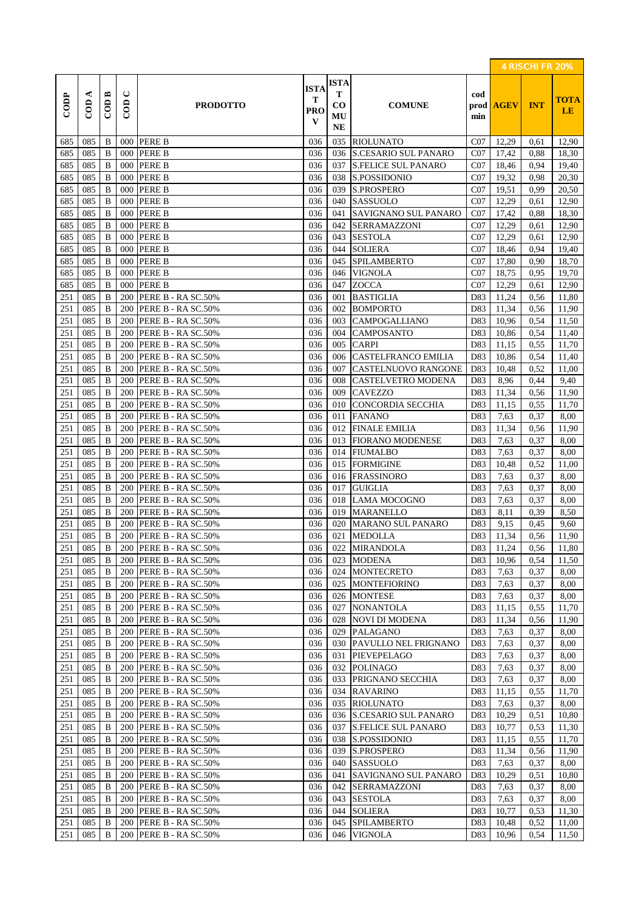|            |                     |                    |               |                                          |                                     |                                                 |                                             |            |                  | 4 RISCHI FR 20% |                   |
|------------|---------------------|--------------------|---------------|------------------------------------------|-------------------------------------|-------------------------------------------------|---------------------------------------------|------------|------------------|-----------------|-------------------|
| CODP       | ⋖<br>$\overline{C}$ | $\overline{C}$ ODB | $\cup$<br>COD | <b>PRODOTTO</b>                          | <b>ISTA</b><br>T<br><b>PRO</b><br>V | <b>ISTA</b><br>Т<br>$\bf CO$<br>MU<br><b>NE</b> | <b>COMUNE</b>                               | cod<br>min | prod <b>AGEV</b> | <b>INT</b>      | <b>TOTA</b><br>LE |
| 685        | 085                 | B                  | $000\,$       | <b>PERE B</b>                            | 036                                 | 035                                             | <b>RIOLUNATO</b>                            | CO7        | 12,29            | 0.61            | 12,90             |
| 685        | 085                 | B                  | 000           | <b>PERE B</b>                            | 036                                 | 036                                             | <b>S.CESARIO SUL PANARO</b>                 | CO7        | 17,42            | 0.88            | 18,30             |
| 685        | 085                 | B                  | 000           | <b>PERE B</b>                            | 036                                 | 037                                             | <b>S.FELICE SUL PANARO</b>                  | CO7        | 18,46            | 0,94            | 19,40             |
| 685        | 085                 | $\bf{B}$           | 000           | <b>PERE B</b>                            | 036                                 | 038                                             | S.POSSIDONIO                                | CO7        | 19,32            | 0.98            | 20,30             |
| 685        | 085                 | $\bf{B}$           | 000           | <b>PERE B</b>                            | 036                                 | 039                                             | <b>S.PROSPERO</b>                           | CO7        | 19,51            | 0.99            | 20,50             |
| 685        | 085                 | B                  | 000           | <b>PERE B</b>                            | 036                                 | 040                                             | <b>SASSUOLO</b>                             | CO7        | 12,29            | 0,61            | 12,90             |
| 685        | 085                 | $\bf{B}$           | 000           | <b>PERE B</b>                            | 036                                 | 041                                             | SAVIGNANO SUL PANARO                        | CO7        | 17,42            | 0,88            | 18,30             |
| 685        | 085                 | $\bf{B}$           | 000           | <b>PERE B</b>                            | 036                                 | 042                                             | <b>SERRAMAZZONI</b>                         | CO7        | 12,29            | 0,61            | 12,90             |
| 685        | 085                 | B                  | 000           | <b>PERE B</b>                            | 036                                 | 043                                             | <b>SESTOLA</b>                              | CO7        | 12,29            | 0,61            | 12,90             |
| 685<br>685 | 085<br>085          | B<br>B             | 000<br>000    | <b>PERE B</b><br><b>PERE B</b>           | 036<br>036                          | 044<br>045                                      | <b>SOLIERA</b><br><b>SPILAMBERTO</b>        | CO7<br>CO7 | 18,46<br>17,80   | 0.94<br>0,90    | 19,40<br>18,70    |
| 685        | 085                 | B                  | 000           | <b>PERE B</b>                            | 036                                 | 046                                             | <b>VIGNOLA</b>                              | CO7        | 18,75            | 0.95            | 19,70             |
| 685        | 085                 | B                  | 000           | <b>PERE B</b>                            | 036                                 | 047                                             | <b>ZOCCA</b>                                | CO7        | 12,29            | 0,61            | 12,90             |
| 251        | 085                 | B                  | 200           | PERE B - RA SC.50%                       | 036                                 | 001                                             | <b>BASTIGLIA</b>                            | D83        | 11.24            | 0,56            | 11,80             |
| 251        | 085                 | B                  | 200           | PERE B - RA SC.50%                       | 036                                 | 002                                             | <b>BOMPORTO</b>                             | D83        | 11,34            | 0.56            | 11,90             |
| 251        | 085                 | B                  | 200           | PERE B - RA SC.50%                       | 036                                 | 003                                             | <b>CAMPOGALLIANO</b>                        | D83        | 10,96            | 0.54            | 11,50             |
| 251        | 085                 | B                  | 200           | PERE B - RA SC.50%                       | 036                                 | 004                                             | <b>CAMPOSANTO</b>                           | D83        | 10,86            | 0.54            | 11,40             |
| 251        | 085                 | B                  | 200           | PERE B - RA SC.50%                       | 036                                 | 005                                             | <b>CARPI</b>                                | D83        | 11,15            | 0,55            | 11,70             |
| 251        | 085                 | B                  | 200           | PERE B - RA SC.50%                       | 036                                 | 006                                             | <b>CASTELFRANCO EMILIA</b>                  | D83        | 10,86            | 0.54            | 11,40             |
| 251        | 085                 | B                  | 200           | PERE B - RA SC.50%                       | 036                                 | 007                                             | <b>CASTELNUOVO RANGONE</b>                  | D83        | 10,48            | 0,52            | 11,00             |
| 251        | 085                 | B                  | 200           | PERE B - RA SC.50%                       | 036                                 | 008                                             | <b>CASTELVETRO MODENA</b>                   | D83        | 8,96             | 0,44            | 9,40              |
| 251        | 085                 | B                  | 200           | PERE B - RA SC.50%                       | 036                                 | 009                                             | <b>CAVEZZO</b>                              | D83        | 11,34            | 0,56            | 11,90             |
| 251        | 085                 | B                  | 200           | PERE B - RA SC.50%                       | 036                                 | 010                                             | CONCORDIA SECCHIA                           | D83        | 11,15            | 0.55            | 11,70             |
| 251        | 085                 | B                  | 200           | PERE B - RA SC.50%                       | 036                                 | 011                                             | <b>FANANO</b>                               | D83        | 7,63             | 0,37            | 8,00              |
| 251        | 085                 | B                  | 200           | PERE B - RA SC.50%                       | 036                                 | 012                                             | <b>FINALE EMILIA</b>                        | D83        | 11,34            | 0.56            | 11,90             |
| 251        | 085                 | $\bf{B}$           | 200           | PERE B - RA SC.50%                       | 036                                 | 013                                             | <b>FIORANO MODENESE</b>                     | D83        | 7,63             | 0,37            | 8,00              |
| 251        | 085                 | B                  | 200           | PERE B - RA SC.50%                       | 036                                 | 014                                             | <b>FIUMALBO</b>                             | D83        | 7,63             | 0,37            | 8,00              |
| 251        | 085                 | B                  | 200           | PERE B - RA SC.50%                       | 036                                 | 015                                             | <b>FORMIGINE</b>                            | D83        | 10,48            | 0,52            | 11,00             |
| 251        | 085                 | B                  | 200           | PERE B - RA SC.50%                       | 036                                 | 016                                             | <b>FRASSINORO</b>                           | D83        | 7,63             | 0,37            | 8,00              |
| 251        | 085                 | B                  | 200           | PERE B - RA SC.50%                       | 036                                 | 017                                             | <b>GUIGLIA</b>                              | D83        | 7,63             | 0.37            | 8,00              |
| 251        | 085                 | B                  | 200           | PERE B - RA SC.50%                       | 036                                 | 018                                             | LAMA MOCOGNO                                | D83        | 7,63             | 0,37            | 8,00              |
| 251        | 085                 | B                  | 200           | PERE B - RA SC.50%                       | 036                                 | 019                                             | <b>MARANELLO</b>                            | D83        | 8,11             | 0.39            | 8,50              |
| 251<br>251 | 085<br>085          | B<br>B             | 200<br>200    | PERE B - RA SC.50%<br>PERE B - RA SC.50% | 036<br>036                          | 020<br>021                                      | <b>MARANO SUL PANARO</b><br><b>MEDOLLA</b>  | D83<br>D83 | 9,15<br>11.34    | 0,45<br>0.56    | 9,60<br>11,90     |
| 251        | 085                 | B                  |               | 200 PERE B - RA SC.50%                   | 036                                 | 022                                             | <b>MIRANDOLA</b>                            | D83        | 11,24            | 0,56            | 11,80             |
| 251        | 085                 | B                  | 200           | PERE B - RA SC.50%                       | 036                                 | 023                                             | <b>MODENA</b>                               | D83        | 10,96            | 0.54            | 11,50             |
| 251        | 085                 | B                  | 200           | PERE B - RA SC.50%                       | 036                                 | 024                                             | <b>MONTECRETO</b>                           | D83        | 7,63             | 0,37            | 8,00              |
| 251        | 085                 | B                  | 200           | PERE B - RA SC.50%                       | 036                                 | 025                                             | <b>MONTEFIORINO</b>                         | D83        | 7,63             | 0,37            | 8,00              |
| 251        | 085                 | B                  | 200           | PERE B - RA SC.50%                       | 036                                 | 026                                             | <b>MONTESE</b>                              | D83        | 7,63             | 0,37            | 8,00              |
| 251        | 085                 | B                  | 200           | PERE B - RA SC.50%                       | 036                                 | 027                                             | <b>NONANTOLA</b>                            | D83        | 11,15            | 0.55            | 11,70             |
| 251        | 085                 | B                  | 200           | PERE B - RA SC.50%                       | 036                                 | 028                                             | NOVI DI MODENA                              | D83        | 11,34            | 0.56            | 11,90             |
| 251        | 085                 | B                  | 200           | PERE B - RA SC.50%                       | 036                                 | 029                                             | <b>PALAGANO</b>                             | D83        | 7,63             | 0.37            | 8,00              |
| 251        | 085                 | B                  | 200           | PERE B - RA SC.50%                       | 036                                 | 030                                             | PAVULLO NEL FRIGNANO                        | D83        | 7,63             | 0,37            | 8,00              |
| 251        | 085                 | B                  | 200           | PERE B - RA SC.50%                       | 036                                 | 031                                             | <b>PIEVEPELAGO</b>                          | D83        | 7,63             | 0,37            | 8,00              |
| 251        | 085                 | B                  | 200           | PERE B - RA SC.50%                       | 036                                 | 032                                             | <b>POLINAGO</b>                             | D83        | 7,63             | 0,37            | 8,00              |
| 251        | 085                 | B                  | 200           | PERE B - RA SC.50%                       | 036                                 | 033                                             | PRIGNANO SECCHIA                            | D83        | 7,63             | 0,37            | 8,00              |
| 251        | 085                 | B                  | 200           | PERE B - RA SC.50%                       | 036                                 | 034                                             | <b>RAVARINO</b>                             | D83        | 11,15            | 0.55            | 11,70             |
| 251        | 085                 | B                  | 200           | PERE B - RA SC.50%                       | 036                                 | 035                                             | <b>RIOLUNATO</b>                            | D83        | 7,63             | 0.37            | 8,00              |
| 251        | 085                 | B                  | 200           | PERE B - RA SC.50%                       | 036                                 | 036                                             | <b>S.CESARIO SUL PANARO</b>                 | D83        | 10,29            | 0,51            | 10,80             |
| 251        | 085                 | B                  | 200           | PERE B - RA SC.50%                       | 036                                 | 037                                             | <b>S.FELICE SUL PANARO</b>                  | D83        | 10,77            | 0.53            | 11,30             |
| 251        | 085                 | B                  | 200           | PERE B - RA SC.50%                       | 036                                 | 038                                             | S.POSSIDONIO                                | D83        | 11,15            | 0.55            | 11,70             |
| 251        | 085                 | B                  | 200           | PERE B - RA SC.50%                       | 036                                 | 039                                             | S.PROSPERO                                  | D83        | 11,34            | 0.56            | 11,90             |
| 251        | 085                 | B                  | 200           | PERE B - RA SC.50%                       | 036                                 | 040                                             | <b>SASSUOLO</b>                             | D83        | 7,63             | 0,37            | 8,00              |
| 251<br>251 | 085<br>085          | B<br>B             | 200<br>200    | PERE B - RA SC.50%<br>PERE B - RA SC.50% | 036<br>036                          | 041<br>042                                      | SAVIGNANO SUL PANARO<br><b>SERRAMAZZONI</b> | D83<br>D83 | 10,29<br>7,63    | 0.51<br>0.37    | 10,80<br>8,00     |
| 251        | 085                 | B                  | 200           | PERE B - RA SC.50%                       | 036                                 | 043                                             | <b>SESTOLA</b>                              | D83        | 7,63             | 0,37            | 8,00              |
| 251        | 085                 | B                  | 200           | PERE B - RA SC.50%                       | 036                                 | 044                                             | <b>SOLIERA</b>                              | D83        | 10,77            | 0.53            | 11,30             |
| 251        | 085                 | B                  | 200           | PERE B - RA SC.50%                       | 036                                 | 045                                             | <b>SPILAMBERTO</b>                          | D83        | 10,48            | 0.52            | 11,00             |
| 251        | 085                 | B                  |               | 200 PERE B - RA SC.50%                   | 036                                 | 046                                             | <b>VIGNOLA</b>                              | D83        | 10,96            | 0.54            | 11,50             |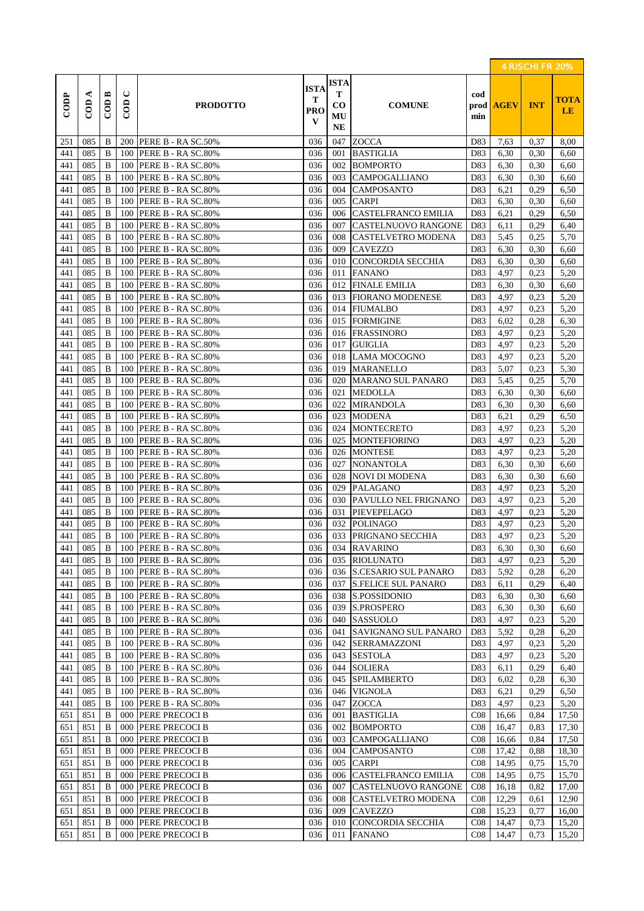|            |                     |                    |                                         |                                          |                                         |                                                  |                                            |                 |                  | 4 RISCHI FR 20% |                          |
|------------|---------------------|--------------------|-----------------------------------------|------------------------------------------|-----------------------------------------|--------------------------------------------------|--------------------------------------------|-----------------|------------------|-----------------|--------------------------|
| CODP       | ⋖<br>$\overline{C}$ | $\overline{C}$ ODB | $\mathbf{\mathsf{C}}$<br>$\overline{C}$ | <b>PRODOTTO</b>                          | <b>ISTA</b><br>т<br>PRO<br>$\mathbf{V}$ | <b>ISTA</b><br>т<br>$\bf{CO}$<br>MU<br><b>NE</b> | <b>COMUNE</b>                              | cod<br>min      | prod <b>AGEV</b> | <b>INT</b>      | <b>TOTA</b><br><b>LE</b> |
| 251        | 085                 | B                  |                                         | 200 PERE B - RA SC.50%                   | 036                                     | 047                                              | ZOCCA                                      | D83             | 7,63             | 0,37            | 8,00                     |
| 441        | 085                 | B                  | 100                                     | PERE B - RA SC.80%                       | 036                                     | 001                                              | <b>BASTIGLIA</b>                           | D83             | 6,30             | 0,30            | 6,60                     |
| 441        | 085                 | B                  | 100                                     | PERE B - RA SC.80%                       | 036                                     | 002                                              | <b>BOMPORTO</b>                            | D83             | 6,30             | 0,30            | 6,60                     |
| 441        | 085                 | $\bf{B}$           | 100                                     | PERE B - RA SC.80%                       | 036                                     | 003                                              | <b>CAMPOGALLIANO</b>                       | D83             | 6,30             | 0,30            | 6,60                     |
| 441        | 085                 | B                  | 100                                     | PERE B - RA SC.80%                       | 036                                     | 004                                              | <b>CAMPOSANTO</b>                          | D83             | 6,21             | 0,29            | 6,50                     |
| 441        | 085                 | B                  | 100                                     | PERE B - RA SC.80%                       | 036                                     | 005                                              | <b>CARPI</b>                               | D83             | 6,30             | 0,30            | 6,60                     |
| 441        | 085                 | B                  | 100                                     | PERE B - RA SC.80%                       | 036                                     | 006                                              | <b>CASTELFRANCO EMILIA</b>                 | D83             | 6,21             | 0,29            | 6,50                     |
| 441        | 085                 | $\bf{B}$           | 100                                     | PERE B - RA SC.80%                       | 036                                     | 007                                              | <b>CASTELNUOVO RANGONE</b>                 | D83             | 6,11             | 0,29            | 6,40                     |
| 441        | 085                 | B                  | 100                                     | PERE B - RA SC.80%                       | 036                                     | 008                                              | <b>CASTELVETRO MODENA</b>                  | D83             | 5,45             | 0,25            | 5,70                     |
| 441        | 085                 | B                  | 100                                     | PERE B - RA SC.80%                       | 036                                     | 009                                              | <b>CAVEZZO</b>                             | D83             | 6,30             | 0,30            | 6,60                     |
| 441        | 085                 | B                  | 100                                     | PERE B - RA SC.80%                       | 036                                     | 010                                              | CONCORDIA SECCHIA                          | D83             | 6,30             | 0,30            | 6,60                     |
| 441        | 085                 | B                  | 100                                     | PERE B - RA SC.80%                       | 036                                     | 011                                              | <b>FANANO</b>                              | D83             | 4,97             | 0,23            | 5,20                     |
| 441        | 085                 | B                  | 100                                     | PERE B - RA SC.80%                       | 036                                     | 012                                              | <b>FINALE EMILIA</b>                       | D83             | 6,30             | 0,30            | 6,60                     |
| 441        | 085                 | B                  | 100                                     | PERE B - RA SC.80%                       | 036                                     |                                                  | 013 FIORANO MODENESE                       | D83             | 4,97             | 0,23            | 5,20                     |
| 441        | 085                 | $\bf{B}$           | 100                                     | PERE B - RA SC.80%                       | 036                                     | 014                                              | <b>FIUMALBO</b>                            | D83             | 4,97             | 0,23            | 5,20                     |
| 441        | 085                 | B                  | 100                                     | PERE B - RA SC.80%                       | 036                                     | 015                                              | <b>FORMIGINE</b>                           | D83             | 6,02             | 0,28            | 6,30                     |
| 441        | 085                 | B                  | 100                                     | PERE B - RA SC.80%                       | 036                                     | 016                                              | <b>FRASSINORO</b>                          | D83             | 4,97             | 0,23            | 5,20                     |
| 441        | 085                 | B                  | 100                                     | PERE B - RA SC.80%                       | 036                                     | 017                                              | <b>GUIGLIA</b>                             | D83             | 4,97             | 0.23            | 5,20                     |
| 441        | 085                 | B                  | 100                                     | PERE B - RA SC.80%                       | 036                                     |                                                  | 018 LAMA MOCOGNO                           | D83             | 4,97             | 0,23            | 5,20                     |
| 441        | 085                 | B                  | 100                                     | PERE B - RA SC.80%                       | 036                                     | 019                                              | <b>MARANELLO</b>                           | D83             | 5,07             | 0,23            | 5,30                     |
| 441        | 085                 | B                  | 100                                     | PERE B - RA SC.80%                       | 036                                     | 020                                              | <b>MARANO SUL PANARO</b>                   | D83             | 5,45             | 0,25            | 5,70                     |
| 441        | 085                 | B                  | 100                                     | PERE B - RA SC.80%                       | 036                                     | 021                                              | <b>MEDOLLA</b>                             | D83             | 6,30             | 0.30            | 6,60                     |
| 441        | 085                 | B                  | 100                                     | PERE B - RA SC.80%                       | 036                                     | 022                                              | <b>MIRANDOLA</b>                           | D83             | 6,30             | 0.30            | 6,60                     |
| 441        | 085                 | $\bf{B}$           | 100                                     | PERE B - RA SC.80%                       | 036                                     | 023                                              | <b>MODENA</b>                              | D83             | 6,21             | 0,29            | 6,50                     |
| 441        | 085                 | B                  | 100                                     | PERE B - RA SC.80%                       | 036                                     | 024                                              | <b>MONTECRETO</b>                          | D83             | 4,97             | 0,23            | 5,20                     |
| 441        | 085                 | B                  | 100                                     | PERE B - RA SC.80%                       | 036                                     | 025                                              | <b>MONTEFIORINO</b>                        | D83             | 4,97             | 0,23            | 5,20                     |
| 441        | 085                 | $\bf{B}$           | 100                                     | PERE B - RA SC.80%                       | 036                                     | 026                                              | <b>MONTESE</b>                             | D83             | 4,97             | 0,23            | 5,20                     |
| 441        | 085                 | B                  | 100                                     | PERE B - RA SC.80%                       | 036                                     | 027                                              | <b>NONANTOLA</b>                           | D83             | 6,30             | 0,30            | 6,60                     |
| 441        | 085                 | B                  | 100                                     | PERE B - RA SC.80%                       | 036                                     | 028                                              | <b>NOVI DI MODENA</b>                      | D83             | 6,30             | 0,30            | 6,60                     |
| 441        | 085                 | B                  | 100                                     | PERE B - RA SC.80%                       | 036                                     | 029                                              | <b>PALAGANO</b>                            | D83             | 4,97             | 0,23            | 5,20                     |
| 441        | 085                 | B                  | 100                                     | PERE B - RA SC.80%                       | 036                                     | 030                                              | PAVULLO NEL FRIGNANO                       | D83             | 4,97             | 0,23            | 5,20                     |
| 441        | 085                 | B                  | 100                                     | PERE B - RA SC.80%                       | 036                                     | 031                                              | PIEVEPELAGO                                | D83             | 4,97             | 0,23            | 5,20                     |
| 441<br>441 | 085<br>085          | B<br>B             | 100<br>100                              | PERE B - RA SC.80%<br>PERE B - RA SC.80% | 036<br>036                              | 032<br>033                                       | <b>POLINAGO</b><br><b>PRIGNANO SECCHIA</b> | D83<br>D83      | 4,97<br>4,97     | 0,23<br>0,23    | 5,20<br>5,20             |
|            |                     |                    |                                         | 100 PERE B - RA SC.80%                   |                                         |                                                  | 034 RAVARINO                               |                 |                  | 0,30            |                          |
| 441<br>441 | 085<br>085          | B<br>B             | 100                                     | PERE B - RA SC.80%                       | 036<br>036                              | 035                                              | <b>RIOLUNATO</b>                           | D83<br>D83      | 6,30<br>4,97     | 0,23            | 6,60<br>5,20             |
| 441        | 085                 | B                  | 100                                     | PERE B - RA SC.80%                       | 036                                     | 036                                              | <b>S.CESARIO SUL PANARO</b>                | D83             | 5,92             | 0,28            | 6,20                     |
| 441        | 085                 | B                  | 100                                     | PERE B - RA SC.80%                       | 036                                     | 037                                              | <b>S.FELICE SUL PANARO</b>                 | D83             | 6,11             | 0,29            | 6,40                     |
| 441        | 085                 | B                  | 100                                     | PERE B - RA SC.80%                       | 036                                     | 038                                              | S.POSSIDONIO                               | D83             | 6,30             | 0,30            | 6,60                     |
| 441        | 085                 | B                  | 100                                     | PERE B - RA SC.80%                       | 036                                     | 039                                              | S.PROSPERO                                 | D83             | 6,30             | 0,30            | 6,60                     |
| 441        | 085                 | B                  | 100                                     | PERE B - RA SC.80%                       | 036                                     | 040                                              | <b>SASSUOLO</b>                            | D83             | 4,97             | 0,23            | 5,20                     |
| 441        | 085                 | B                  | 100                                     | PERE B - RA SC.80%                       | 036                                     | 041                                              | <b>SAVIGNANO SUL PANARO</b>                | D83             | 5,92             | 0,28            | 6,20                     |
| 441        | 085                 | B                  | 100                                     | PERE B - RA SC.80%                       | 036                                     | 042                                              | <b>SERRAMAZZONI</b>                        | D83             | 4,97             | 0,23            | 5,20                     |
| 441        | 085                 | B                  | 100                                     | PERE B - RA SC.80%                       | 036                                     | 043                                              | <b>SESTOLA</b>                             | D83             | 4,97             | 0,23            | 5,20                     |
| 441        | 085                 | B                  | 100                                     | PERE B - RA SC.80%                       | 036                                     | 044                                              | <b>SOLIERA</b>                             | D83             | 6,11             | 0,29            | 6,40                     |
| 441        | 085                 | B                  | 100                                     | PERE B - RA SC.80%                       | 036                                     | 045                                              | <b>SPILAMBERTO</b>                         | D83             | 6,02             | 0,28            | 6,30                     |
| 441        | 085                 | B                  | 100                                     | PERE B - RA SC.80%                       | 036                                     | 046                                              | <b>VIGNOLA</b>                             | D83             | 6,21             | 0,29            | 6,50                     |
| 441        | 085                 | B                  | 100                                     | PERE B - RA SC.80%                       | 036                                     | 047                                              | <b>ZOCCA</b>                               | D83             | 4,97             | 0,23            | 5,20                     |
| 651        | 851                 | B                  | 000                                     | PERE PRECOCI B                           | 036                                     | 001                                              | <b>BASTIGLIA</b>                           | CO8             | 16,66            | 0,84            | 17,50                    |
| 651        | 851                 | B                  | 000                                     | PERE PRECOCI B                           | 036                                     | 002                                              | <b>BOMPORTO</b>                            | CO8             | 16,47            | 0.83            | 17,30                    |
| 651        | 851                 | B                  | 000                                     | PERE PRECOCI B                           | 036                                     | 003                                              | CAMPOGALLIANO                              | C <sub>08</sub> | 16,66            | 0,84            | 17,50                    |
| 651        | 851                 | B                  | 000                                     | PERE PRECOCI B                           | 036                                     | 004                                              | <b>CAMPOSANTO</b>                          | C <sub>08</sub> | 17,42            | 0,88            | 18,30                    |
| 651        | 851                 | B                  | 000                                     | PERE PRECOCI B                           | 036                                     | 005                                              | <b>CARPI</b>                               | CO8             | 14,95            | 0.75            | 15,70                    |
| 651        | 851                 | B                  | 000                                     | PERE PRECOCI B                           | 036                                     | 006                                              | <b>CASTELFRANCO EMILIA</b>                 | C <sub>08</sub> | 14,95            | 0,75            | 15,70                    |
| 651        | 851                 | B                  | 000                                     | PERE PRECOCI B                           | 036                                     | 007                                              | <b>CASTELNUOVO RANGONE</b>                 | CO8             | 16,18            | 0,82            | 17,00                    |
| 651        | 851                 | B                  | 000                                     | PERE PRECOCI B                           | 036                                     | 008                                              | <b>CASTELVETRO MODENA</b>                  | CO8             | 12,29            | 0,61            | 12,90                    |
| 651        | 851                 | B                  | 000                                     | PERE PRECOCI B                           | 036                                     | 009                                              | <b>CAVEZZO</b>                             | C <sub>08</sub> | 15,23            | 0,77            | 16,00                    |
| 651        | 851                 | B                  | 000                                     | <b>PERE PRECOCI B</b>                    | 036                                     | 010                                              | CONCORDIA SECCHIA                          | CO8             | 14,47            | 0.73            | 15,20                    |
| 651        | 851                 | B                  | 000                                     | PERE PRECOCI B                           | 036                                     | 011                                              | <b>FANANO</b>                              | CO8             | 14,47            | 0.73            | 15,20                    |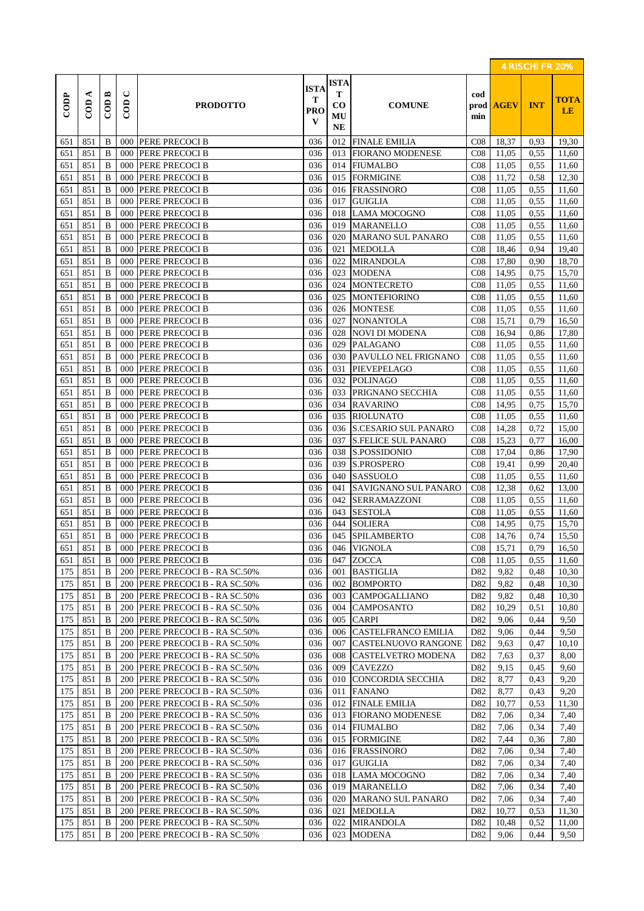|                  |                     |                      |                                    |                                                          |                              |                                                 |                                         |                 |                  | 4 RISCHI FR 20% |                   |
|------------------|---------------------|----------------------|------------------------------------|----------------------------------------------------------|------------------------------|-------------------------------------------------|-----------------------------------------|-----------------|------------------|-----------------|-------------------|
| $\overline{COP}$ | ⋖<br>$\overline{C}$ | $\overline{C}$ ODB   | $\mathrel{\cup}$<br>$\overline{C}$ | <b>PRODOTTO</b>                                          | <b>ISTA</b><br>Т<br>PRO<br>V | <b>ISTA</b><br>Т<br>$\bf CO$<br>MU<br><b>NE</b> | <b>COMUNE</b>                           | cod<br>min      | prod <b>AGEV</b> | <b>INT</b>      | <b>TOTA</b><br>LE |
| 651              | 851                 | B                    | 000                                | PERE PRECOCI B                                           | 036                          | 012                                             | <b>FINALE EMILIA</b>                    | $\cos$          | 18,37            | 0,93            | 19,30             |
| 651              | 851                 | $\bf{B}$             | 000                                | PERE PRECOCI B                                           | 036                          | 013                                             | <b>FIORANO MODENESE</b>                 | CO8             | 11,05            | 0.55            | 11,60             |
| 651              | 851                 | $\bf{B}$             | 000                                | PERE PRECOCI B                                           | 036                          | 014                                             | <b>FIUMALBO</b>                         | CO8             | 11,05            | 0.55            | 11,60             |
| 651              | 851                 | $\bf{B}$             | 000                                | PERE PRECOCI B                                           | 036                          | 015                                             | <b>FORMIGINE</b>                        | CO8             | 11,72            | 0.58            | 12,30             |
| 651              | 851                 | $\bf{B}$             | 000                                | PERE PRECOCI B                                           | 036                          | 016                                             | <b>FRASSINORO</b>                       | CO8             | 11,05            | 0,55            | 11,60             |
| 651              | 851                 | B                    | 000                                | PERE PRECOCI B                                           | 036                          | 017                                             | <b>GUIGLIA</b>                          | CO8             | 11,05            | 0.55            | 11,60             |
| 651              | 851                 | $\bf{B}$             | 000                                | PERE PRECOCI B                                           | 036                          | 018                                             | <b>LAMA MOCOGNO</b>                     | CO8             | 11,05            | 0.55            | 11,60             |
| 651              | 851                 | $\bf{B}$             | 000                                | PERE PRECOCI B                                           | 036                          | 019                                             | <b>MARANELLO</b>                        | CO8             | 11,05            | 0.55            | 11,60             |
| 651              | 851                 | $\bf{B}$             | 000                                | PERE PRECOCI B                                           | 036                          | 020                                             | <b>MARANO SUL PANARO</b>                | CO8             | 11,05            | 0.55            | 11,60             |
| 651              | 851                 | B                    | 000                                | PERE PRECOCI B                                           | 036                          | 021                                             | <b>MEDOLLA</b>                          | CO8             | 18,46            | 0,94            | 19,40             |
| 651              | 851                 | B                    | 000                                | PERE PRECOCI B                                           | 036                          | 022                                             | <b>MIRANDOLA</b>                        | CO8             | 17,80            | 0,90            | 18,70             |
| 651              | 851<br>851          | $\bf{B}$<br>$\bf{B}$ | 000<br>000                         | PERE PRECOCI B<br>PERE PRECOCI B                         | 036<br>036                   | 023<br>024                                      | <b>MODENA</b><br><b>MONTECRETO</b>      | CO8             | 14,95<br>11,05   | 0,75<br>0.55    | 15,70             |
| 651<br>651       | 851                 | $\bf{B}$             | 000                                | PERE PRECOCI B                                           | 036                          | 025                                             | <b>MONTEFIORINO</b>                     | CO8<br>CO8      | 11,05            | 0,55            | 11,60<br>11,60    |
| 651              | 851                 | $\bf{B}$             | 000                                | PERE PRECOCI B                                           | 036                          | 026                                             | <b>MONTESE</b>                          | CO8             | 11,05            | 0.55            | 11,60             |
| 651              | 851                 | $\bf{B}$             | 000                                | PERE PRECOCI B                                           | 036                          | 027                                             | <b>NONANTOLA</b>                        | CO8             | 15,71            | 0,79            | 16,50             |
| 651              | 851                 | B                    | 000                                | <b>PERE PRECOCI B</b>                                    | 036                          | 028                                             | <b>NOVI DI MODENA</b>                   | CO8             | 16,94            | 0,86            | 17,80             |
| 651              | 851                 | $\bf{B}$             | 000                                | PERE PRECOCI B                                           | 036                          | 029                                             | <b>PALAGANO</b>                         | CO8             | 11,05            | 0,55            | 11,60             |
| 651              | 851                 | $\bf{B}$             | 000                                | PERE PRECOCI B                                           | 036                          | 030                                             | PAVULLO NEL FRIGNANO                    | CO8             | 11,05            | 0.55            | 11,60             |
| 651              | 851                 | B                    | 000                                | <b>PERE PRECOCI B</b>                                    | 036                          | 031                                             | PIEVEPELAGO                             | CO8             | 11,05            | 0,55            | 11,60             |
| 651              | 851                 | $\bf{B}$             | 000                                | PERE PRECOCI B                                           | 036                          | 032                                             | <b>POLINAGO</b>                         | CO8             | 11,05            | 0,55            | 11,60             |
| 651              | 851                 | B                    | 000                                | PERE PRECOCI B                                           | 036                          | 033                                             | PRIGNANO SECCHIA                        | CO8             | 11,05            | 0.55            | 11,60             |
| 651              | 851                 | B                    | 000                                | PERE PRECOCI B                                           | 036                          | 034                                             | <b>RAVARINO</b>                         | CO8             | 14,95            | 0.75            | 15,70             |
| 651              | 851                 | $\bf{B}$             | 000                                | PERE PRECOCI B                                           | 036                          | 035                                             | <b>RIOLUNATO</b>                        | CO8             | 11,05            | 0,55            | 11,60             |
| 651              | 851                 | $\bf{B}$             | 000                                | PERE PRECOCI B                                           | 036                          | 036                                             | <b>S.CESARIO SUL PANARO</b>             | CO8             | 14,28            | 0,72            | 15,00             |
| 651              | 851                 | $\bf{B}$             | 000                                | <b>PERE PRECOCI B</b>                                    | 036                          | 037                                             | <b>S.FELICE SUL PANARO</b>              | CO8             | 15,23            | 0,77            | 16,00             |
| 651              | 851                 | $\bf{B}$             | 000                                | PERE PRECOCI B                                           | 036                          | 038                                             | S.POSSIDONIO                            | CO8             | 17,04            | 0,86            | 17,90             |
| 651              | 851                 | B                    | 000                                | PERE PRECOCI B                                           | 036                          | 039                                             | <b>S.PROSPERO</b>                       | CO8             | 19,41            | 0,99            | 20,40             |
| 651              | 851                 | $\bf{B}$             | 000                                | PERE PRECOCI B                                           | 036                          | 040                                             | <b>SASSUOLO</b>                         | CO8             | 11,05            | 0.55            | 11,60             |
| 651              | 851                 | B                    | 000                                | PERE PRECOCI B                                           | 036                          | 041                                             | <b>SAVIGNANO SUL PANARO</b>             | CO8             | 12,38            | 0.62            | 13,00             |
| 651              | 851                 | B                    | 000                                | PERE PRECOCI B                                           | 036                          | 042                                             | SERRAMAZZONI                            | CO8             | 11,05            | 0.55            | 11,60             |
| 651              | 851                 | $\bf{B}$             | 000                                | PERE PRECOCI B                                           | 036                          | 043                                             | <b>SESTOLA</b>                          | CO8             | 11,05            | 0.55            | 11,60             |
| 651              | 851                 | B                    | 000                                | PERE PRECOCI B                                           | 036                          | 044                                             | <b>SOLIERA</b>                          | CO8             | 14,95            | 0,75            | 15,70             |
| 651              | 851                 | B                    | 000                                | <b>PERE PRECOCI B</b>                                    | 036                          | 045                                             | <b>SPILAMBERTO</b>                      | CO8             | 14,76            | 0,74            | 15,50             |
| 651              | 851                 | B                    | 000                                | PERE PRECOCI B                                           | 036                          |                                                 | 046 VIGNOLA                             | CO8             | 15,71            | 0,79            | 16,50             |
| 651              | 851                 | B                    | 000                                | <b>PERE PRECOCI B</b>                                    | 036                          | 047                                             | <b>ZOCCA</b>                            | CO8             | 11,05            | 0,55            | 11,60             |
| 175              | 851                 | B                    | 200                                | PERE PRECOCI B - RA SC.50%                               | 036                          | 001                                             | <b>BASTIGLIA</b>                        | D82             | 9,82             | 0,48            | 10,30             |
| 175              | 851                 | B                    | 200                                | PERE PRECOCI B - RA SC.50%                               | 036                          | 002                                             | <b>BOMPORTO</b><br><b>CAMPOGALLIANO</b> | D82             | 9,82             | 0,48            | 10,30             |
| 175<br>175       | 851<br>851          | B<br>B               | 200<br>200                         | PERE PRECOCI B - RA SC.50%<br>PERE PRECOCI B - RA SC.50% | 036<br>036                   | 003<br>004                                      | <b>CAMPOSANTO</b>                       | D82<br>D82      | 9,82<br>10,29    | 0,48<br>0,51    | 10,30<br>10,80    |
| 175              | 851                 | B                    | 200                                | PERE PRECOCI B - RA SC.50%                               | 036                          | 005                                             | <b>CARPI</b>                            | D82             | 9,06             | 0,44            | 9,50              |
| 175              | 851                 | B                    | 200                                | PERE PRECOCI B - RA SC.50%                               | 036                          | 006                                             | CASTELFRANCO EMILIA                     | D82             | 9,06             | 0,44            | 9,50              |
| 175              | 851                 | B                    | 200                                | PERE PRECOCI B - RA SC.50%                               | 036                          | 007                                             | CASTELNUOVO RANGONE                     | D82             | 9,63             | 0,47            | 10,10             |
| 175              | 851                 | B                    | 200                                | PERE PRECOCI B - RA SC.50%                               | 036                          | 008                                             | CASTELVETRO MODENA                      | D82             | 7,63             | 0,37            | 8,00              |
| 175              | 851                 | B                    | 200                                | PERE PRECOCI B - RA SC.50%                               | 036                          | 009                                             | <b>CAVEZZO</b>                          | D82             | 9,15             | 0,45            | 9,60              |
| 175              | 851                 | $\bf{B}$             | 200                                | PERE PRECOCI B - RA SC.50%                               | 036                          | 010                                             | <b>CONCORDIA SECCHIA</b>                | D82             | 8,77             | 0.43            | 9,20              |
| 175              | 851                 | B                    | 200                                | PERE PRECOCI B - RA SC.50%                               | 036                          | 011                                             | <b>FANANO</b>                           | D82             | 8,77             | 0.43            | 9,20              |
| 175              | 851                 | B                    | 200                                | PERE PRECOCI B - RA SC.50%                               | 036                          | 012                                             | <b>FINALE EMILIA</b>                    | D82             | 10,77            | 0.53            | 11,30             |
| 175              | 851                 | B                    | 200                                | PERE PRECOCI B - RA SC.50%                               | 036                          | 013                                             | <b>FIORANO MODENESE</b>                 | D82             | 7,06             | 0,34            | 7,40              |
| 175              | 851                 | B                    | 200                                | PERE PRECOCI B - RA SC.50%                               | 036                          | 014                                             | <b>FIUMALBO</b>                         | D82             | 7,06             | 0.34            | 7,40              |
| 175              | 851                 | B                    | 200                                | PERE PRECOCI B - RA SC.50%                               | 036                          | 015                                             | <b>FORMIGINE</b>                        | D82             | 7,44             | 0.36            | 7,80              |
| 175              | 851                 | B                    | 200                                | PERE PRECOCI B - RA SC.50%                               | 036                          | 016                                             | <b>FRASSINORO</b>                       | D82             | 7,06             | 0.34            | 7,40              |
| 175              | 851                 | B                    | 200                                | PERE PRECOCI B - RA SC.50%                               | 036                          | 017                                             | <b>GUIGLIA</b>                          | D82             | 7,06             | 0.34            | 7,40              |
| 175              | 851                 | B                    | 200                                | PERE PRECOCI B - RA SC.50%                               | 036                          | 018                                             | <b>LAMA MOCOGNO</b>                     | D82             | 7,06             | 0.34            | 7,40              |
| 175              | 851                 | B                    | 200                                | PERE PRECOCI B - RA SC.50%                               | 036                          | 019                                             | <b>MARANELLO</b>                        | D82             | 7,06             | 0,34            | 7,40              |
| 175              | 851                 | B                    | 200                                | PERE PRECOCI B - RA SC.50%                               | 036                          | 020                                             | <b>MARANO SUL PANARO</b>                | D82             | 7,06             | 0.34            | 7,40              |
| 175              | 851                 | B                    | 200                                | PERE PRECOCI B - RA SC.50%                               | 036                          | 021                                             | <b>MEDOLLA</b>                          | D82             | 10,77            | 0.53            | 11,30             |
| 175              | 851                 | B                    | 200                                | PERE PRECOCI B - RA SC.50%                               | 036                          | 022                                             | <b>MIRANDOLA</b>                        | D <sub>82</sub> | 10,48            | 0,52            | 11,00             |
| 175              | 851                 | B                    | 200                                | PERE PRECOCI B - RA SC.50%                               | 036                          | 023                                             | <b>MODENA</b>                           | D82             | 9,06             | 0,44            | 9,50              |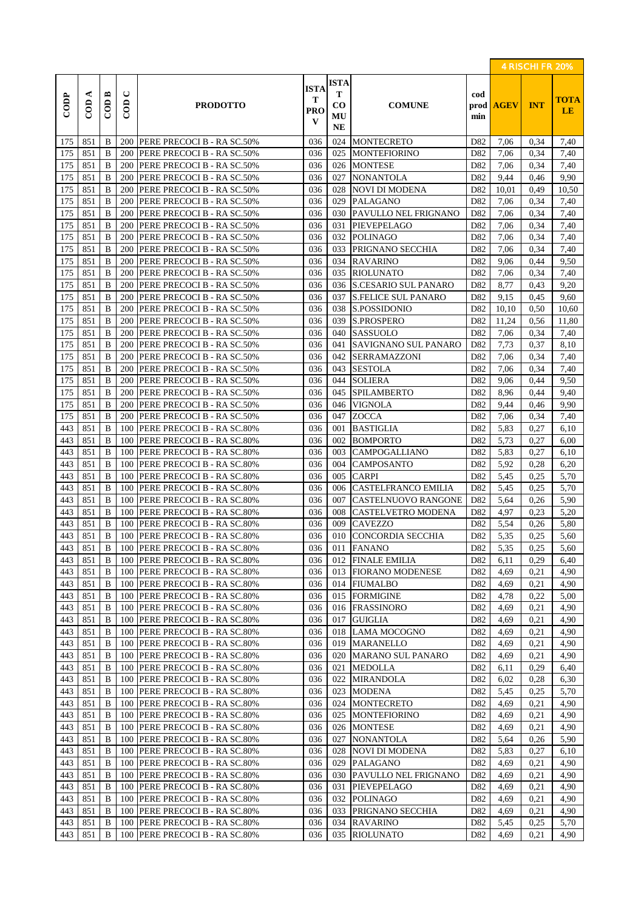|                  |                      |                                      |                          |                                   |                              |                                                 |                             |                    |             | 4 RISCHI FR 20% |                   |
|------------------|----------------------|--------------------------------------|--------------------------|-----------------------------------|------------------------------|-------------------------------------------------|-----------------------------|--------------------|-------------|-----------------|-------------------|
| $\overline{COP}$ | ⋖<br>$\overline{CD}$ | $\mathbb{C} \mathbb{O} \mathbb{D}$ B | $\cup$<br>$\overline{C}$ | <b>PRODOTTO</b>                   | <b>ISTA</b><br>Т<br>PRO<br>V | <b>ISTA</b><br>т<br>$\bf CO$<br>MU<br><b>NE</b> | <b>COMUNE</b>               | cod<br>prod<br>min | <b>AGEV</b> | <b>INT</b>      | <b>TOTA</b><br>LE |
| 175              | 851                  | B                                    |                          | 200 PERE PRECOCI B - RA SC.50%    | 036                          | 024                                             | <b>MONTECRETO</b>           | D82                | 7,06        | 0,34            | 7,40              |
| 175              | 851                  | $\bf{B}$                             | 200                      | PERE PRECOCI B - RA SC.50%        | 036                          | 025                                             | <b>MONTEFIORINO</b>         | D82                | 7,06        | 0.34            | 7,40              |
| 175              | 851                  | B                                    | 200                      | PERE PRECOCI B - RA SC.50%        | 036                          | 026                                             | <b>MONTESE</b>              | D82                | 7,06        | 0.34            | 7,40              |
| 175              | 851                  | B                                    | 200                      | PERE PRECOCI B - RA SC.50%        | 036                          | 027                                             | <b>NONANTOLA</b>            | D82                | 9,44        | 0,46            | 9,90              |
| 175              | 851                  | B                                    | 200                      | PERE PRECOCI B - RA SC.50%        | 036                          | 028                                             | <b>NOVI DI MODENA</b>       | D82                | 10,01       | 0.49            | 10,50             |
| 175              | 851                  | B                                    | 200                      | PERE PRECOCI B - RA SC.50%        | 036                          | 029                                             | <b>PALAGANO</b>             | D82                | 7,06        | 0.34            | 7,40              |
| 175              | 851                  | B                                    | 200                      | <b>PERE PRECOCI B - RA SC.50%</b> | 036                          | 030                                             | PAVULLO NEL FRIGNANO        | D82                | 7,06        | 0,34            | 7,40              |
| 175              | 851                  | B                                    | 200                      | PERE PRECOCI B - RA SC.50%        | 036                          | 031                                             | PIEVEPELAGO                 | D82                | 7,06        | 0.34            | 7,40              |
| 175              | 851                  | B                                    | 200                      | PERE PRECOCI B - RA SC.50%        | 036                          | 032                                             | <b>POLINAGO</b>             | D <sub>82</sub>    | 7,06        | 0.34            | 7,40              |
| 175              | 851                  | $\bf{B}$                             | 200                      | PERE PRECOCI B - RA SC.50%        | 036                          | 033                                             | PRIGNANO SECCHIA            | D82                | 7,06        | 0.34            | 7,40              |
| 175              | 851                  | B                                    | 200                      | PERE PRECOCI B - RA SC.50%        | 036                          | 034                                             | <b>RAVARINO</b>             | D82                | 9,06        | 0,44            | 9,50              |
| 175              | 851                  | B                                    | 200                      | PERE PRECOCI B - RA SC.50%        | 036                          | 035                                             | <b>RIOLUNATO</b>            | D82                | 7,06        | 0,34            | 7,40              |
| 175              | 851                  | $\bf{B}$                             | 200                      | PERE PRECOCI B - RA SC.50%        | 036                          | 036                                             | <b>S.CESARIO SUL PANARO</b> | D82                | 8,77        | 0.43            | 9,20              |
| 175              | 851                  | B                                    | 200                      | PERE PRECOCI B - RA SC.50%        | 036                          | 037                                             | <b>S.FELICE SUL PANARO</b>  | D82                | 9,15        | 0,45            | 9,60              |
| 175              | 851                  | B                                    | 200                      | PERE PRECOCI B - RA SC.50%        | 036                          | 038                                             | S.POSSIDONIO                | D82                | 10,10       | 0,50            | 10,60             |
| 175              | 851                  | $\bf{B}$                             | 200                      | PERE PRECOCI B - RA SC.50%        | 036                          | 039                                             | <b>S.PROSPERO</b>           | D82                | 11,24       | 0.56            | 11,80             |
| 175              | 851                  | B                                    | 200                      | PERE PRECOCI B - RA SC.50%        | 036                          | 040                                             | <b>SASSUOLO</b>             | D82                | 7,06        | 0,34            | 7,40              |
| 175              | 851                  | B                                    | 200                      | PERE PRECOCI B - RA SC.50%        | 036                          | 041                                             | SAVIGNANO SUL PANARO        | D82                | 7,73        | 0,37            | 8,10              |
| 175              | 851                  | B                                    | 200                      | PERE PRECOCI B - RA SC.50%        | 036                          | 042                                             | <b>SERRAMAZZONI</b>         | D <sub>82</sub>    | 7,06        | 0.34            | 7,40              |
| 175              | 851                  | B                                    | 200                      | PERE PRECOCI B - RA SC.50%        | 036                          | 043                                             | <b>SESTOLA</b>              | D <sub>82</sub>    | 7,06        | 0,34            | 7,40              |
| 175              | 851                  | B                                    | 200                      | PERE PRECOCI B - RA SC.50%        | 036                          | 044                                             | <b>SOLIERA</b>              | D82                | 9,06        | 0,44            | 9,50              |
| 175              | 851                  | B                                    | 200                      | PERE PRECOCI B - RA SC.50%        | 036                          | 045                                             | <b>SPILAMBERTO</b>          | D82                | 8,96        | 0,44            | 9,40              |
| 175              | 851                  | B                                    | 200                      | PERE PRECOCI B - RA SC.50%        | 036                          | 046                                             | <b>VIGNOLA</b>              | D <sub>82</sub>    | 9,44        | 0,46            | 9,90              |
| 175              | 851                  | B                                    | 200                      | PERE PRECOCI B - RA SC.50%        | 036                          | 047                                             | <b>ZOCCA</b>                | D82                | 7,06        | 0.34            | 7,40              |
| 443              | 851                  | $\bf{B}$                             | 100                      | PERE PRECOCI B - RA SC.80%        | 036                          | 001                                             | <b>BASTIGLIA</b>            | D82                | 5,83        | 0,27            | 6,10              |
| 443              | 851                  | B                                    | 100                      | PERE PRECOCI B - RA SC.80%        | 036                          | 002                                             | <b>BOMPORTO</b>             | D82                | 5,73        | 0,27            | 6,00              |
| 443              | 851                  | $\bf{B}$                             | 100                      | PERE PRECOCI B - RA SC.80%        | 036                          | 003                                             | <b>CAMPOGALLIANO</b>        | D82                | 5,83        | 0,27            | 6,10              |
| 443              | 851                  | B                                    | 100                      | PERE PRECOCI B - RA SC.80%        | 036                          | 004                                             | <b>CAMPOSANTO</b>           | D82                | 5,92        | 0,28            | 6,20              |
| 443              | 851                  | B                                    | 100                      | PERE PRECOCI B - RA SC.80%        | 036                          | 005                                             | <b>CARPI</b>                | D82                | 5,45        | 0,25            | 5,70              |
| 443              | 851                  | B                                    | 100                      | PERE PRECOCI B - RA SC.80%        | 036                          | 006                                             | <b>CASTELFRANCO EMILIA</b>  | D82                | 5,45        | 0,25            | 5,70              |
| 443              | 851                  | B                                    | 100                      | PERE PRECOCI B - RA SC.80%        | 036                          | 007                                             | CASTELNUOVO RANGONE         | D82                | 5,64        | 0,26            | 5,90              |
| 443              | 851                  | B                                    | 100                      | PERE PRECOCI B - RA SC.80%        | 036                          | 008                                             | <b>CASTELVETRO MODENA</b>   | D82                | 4,97        | 0,23            | 5,20              |
| 443              | 851                  | B                                    | 100                      | PERE PRECOCI B - RA SC.80%        | 036                          | 009                                             | <b>CAVEZZO</b>              | D82                | 5,54        | 0,26            | 5,80              |
| 443              | 851                  | B                                    | 100                      | PERE PRECOCI B - RA SC.80%        | 036                          | 010                                             | <b>CONCORDIA SECCHIA</b>    | D82                | 5,35        | 0,25            | 5,60              |
| 443              | 851                  | B                                    |                          | 100 PERE PRECOCI B - RA SC.80%    | 036                          |                                                 | 011 FANANO                  | D82                | 5,35        | 0,25            | 5,60              |
| 443              | 851                  | B                                    | 100                      | PERE PRECOCI B - RA SC.80%        | 036                          | 012                                             | <b>FINALE EMILIA</b>        | D82                | 6,11        | 0,29            | 6,40              |
| 443              | 851                  | B                                    | 100                      | PERE PRECOCI B - RA SC.80%        | 036                          | 013                                             | <b>FIORANO MODENESE</b>     | D82                | 4,69        | 0,21            | 4,90              |
| 443              | 851                  | B                                    | 100                      | PERE PRECOCI B - RA SC.80%        | 036                          | 014                                             | <b>FIUMALBO</b>             | D82                | 4,69        | 0,21            | 4,90              |
| 443              | 851                  | B                                    | 100                      | PERE PRECOCI B - RA SC.80%        | 036                          | 015                                             | <b>FORMIGINE</b>            | D82                | 4,78        | 0,22            | 5,00              |
| 443              | 851                  | B                                    | 100                      | PERE PRECOCI B - RA SC.80%        | 036                          | 016                                             | <b>FRASSINORO</b>           | D82                | 4,69        | 0,21            | 4,90              |
| 443              | 851                  | B                                    | 100                      | PERE PRECOCI B - RA SC.80%        | 036                          | 017                                             | <b>GUIGLIA</b>              | D82                | 4,69        | 0,21            | 4,90              |
| 443              | 851                  | B                                    | 100                      | PERE PRECOCI B - RA SC.80%        | 036                          | 018                                             | LAMA MOCOGNO                | D82                | 4,69        | 0,21            | 4,90              |
| 443              | 851                  | B                                    | 100                      | PERE PRECOCI B - RA SC.80%        | 036                          | 019                                             | <b>MARANELLO</b>            | D82                | 4,69        | 0,21            | 4,90              |
| 443              | 851                  | B                                    | 100                      | PERE PRECOCI B - RA SC.80%        | 036                          | 020                                             | <b>MARANO SUL PANARO</b>    | D82                | 4,69        | 0,21            | 4,90              |
| 443              | 851                  | B                                    | 100                      | PERE PRECOCI B - RA SC.80%        | 036                          | 021                                             | <b>MEDOLLA</b>              | D82                | 6,11        | 0,29            | 6,40              |
| 443              | 851                  | B                                    | 100                      | PERE PRECOCI B - RA SC.80%        | 036                          | 022                                             | <b>MIRANDOLA</b>            | D82                | 6,02        | 0,28            | 6,30              |
| 443              | 851                  | B                                    | 100                      | PERE PRECOCI B - RA SC.80%        | 036                          | 023                                             | <b>MODENA</b>               | D82                | 5,45        | 0,25            | 5,70              |
| 443              | 851                  | B                                    | 100                      | PERE PRECOCI B - RA SC.80%        | 036                          | 024                                             | <b>MONTECRETO</b>           | D82                | 4,69        | 0,21            | 4,90              |
| 443              | 851                  | B                                    | 100                      | PERE PRECOCI B - RA SC.80%        | 036                          | 025                                             | <b>MONTEFIORINO</b>         | D82                | 4,69        | 0,21            | 4,90              |
| 443              | 851                  | B                                    | 100                      | PERE PRECOCI B - RA SC.80%        | 036                          | 026                                             | <b>MONTESE</b>              | D82                | 4,69        | 0,21            | 4,90              |
| 443              | 851                  | B                                    | 100                      | PERE PRECOCI B - RA SC.80%        | 036                          | 027                                             | <b>NONANTOLA</b>            | D82                | 5,64        | 0,26            | 5,90              |
| 443              | 851                  | B                                    | 100                      | PERE PRECOCI B - RA SC.80%        | 036                          | 028                                             | <b>NOVI DI MODENA</b>       | D82                | 5,83        | 0,27            | 6,10              |
| 443              | 851                  | B                                    | 100                      | PERE PRECOCI B - RA SC.80%        | 036                          | 029                                             | <b>PALAGANO</b>             | D82                | 4,69        | 0,21            | 4,90              |
| 443              | 851                  | B                                    | 100                      | PERE PRECOCI B - RA SC.80%        | 036                          | 030                                             | PAVULLO NEL FRIGNANO        | D82                | 4,69        | 0,21            | 4,90              |
| 443              | 851                  | B                                    | 100                      | PERE PRECOCI B - RA SC.80%        | 036                          | 031                                             | <b>PIEVEPELAGO</b>          | D82                | 4,69        | 0,21            | 4,90              |
| 443              | 851                  | B                                    | 100                      | PERE PRECOCI B - RA SC.80%        | 036                          | 032                                             | <b>POLINAGO</b>             | D82                | 4,69        | 0,21            | 4,90              |
| 443              | 851                  | B                                    | 100                      | PERE PRECOCI B - RA SC.80%        | 036                          | 033                                             | PRIGNANO SECCHIA            | D82                | 4,69        | 0,21            | 4,90              |
| 443              | 851                  | B                                    | 100                      | PERE PRECOCI B - RA SC.80%        | 036                          | 034                                             | <b>RAVARINO</b>             | D82                | 5,45        | 0,25            | 5,70              |
| 443              | 851                  | B                                    | 100                      | PERE PRECOCI B - RA SC.80%        | 036                          | 035                                             | <b>RIOLUNATO</b>            | D82                | 4,69        | 0,21            | 4,90              |